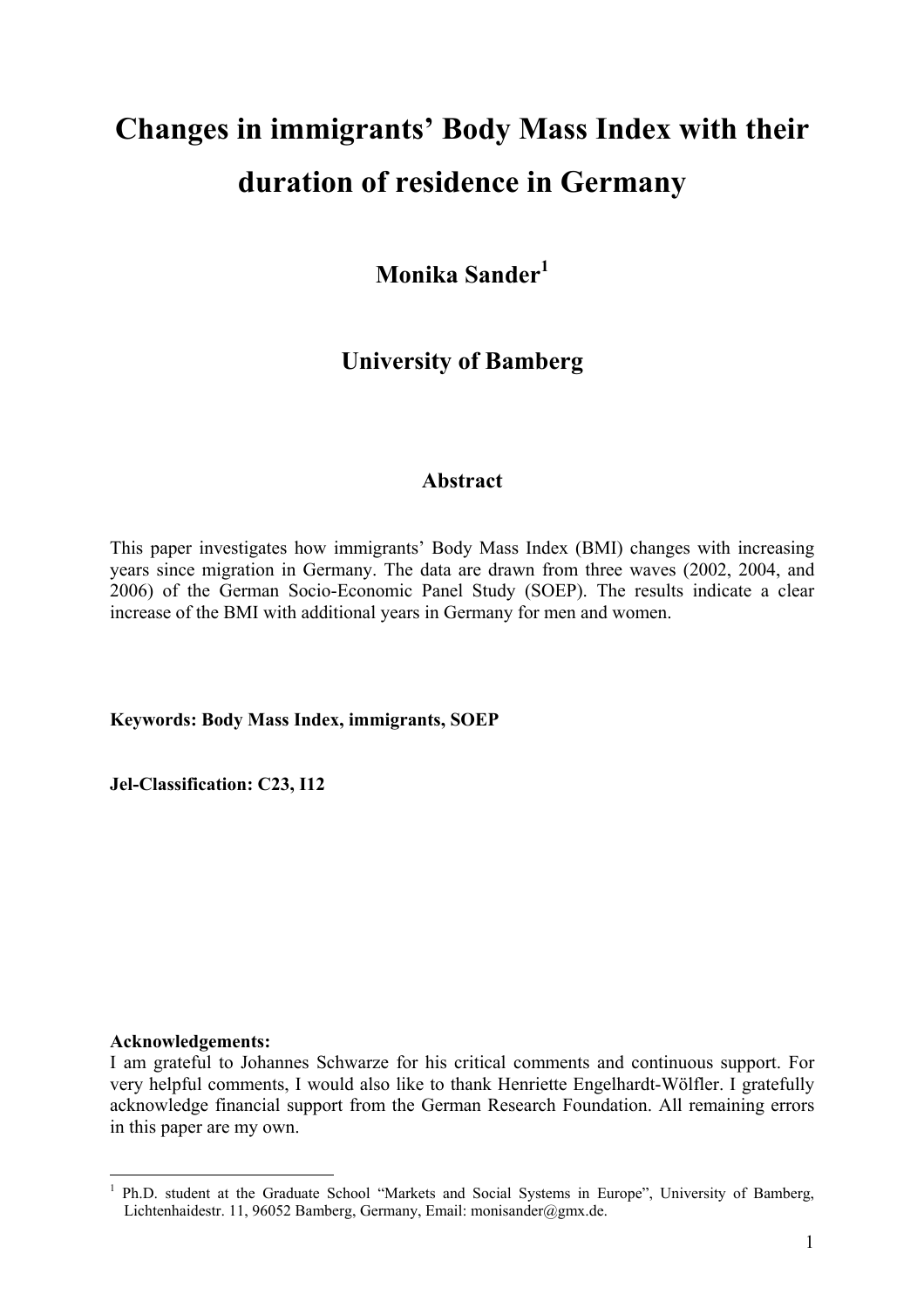# **Changes in immigrants' Body Mass Index with their duration of residence in Germany**

**Monika Sander<sup>1</sup>**

# **University of Bamberg**

# **Abstract**

This paper investigates how immigrants' Body Mass Index (BMI) changes with increasing years since migration in Germany. The data are drawn from three waves (2002, 2004, and 2006) of the German Socio-Economic Panel Study (SOEP). The results indicate a clear increase of the BMI with additional years in Germany for men and women.

**Keywords: Body Mass Index, immigrants, SOEP** 

**Jel-Classification: C23, I12** 

#### **Acknowledgements:**

1

I am grateful to Johannes Schwarze for his critical comments and continuous support. For very helpful comments, I would also like to thank Henriette Engelhardt-Wölfler. I gratefully acknowledge financial support from the German Research Foundation. All remaining errors in this paper are my own.

<sup>&</sup>lt;sup>1</sup> Ph.D. student at the Graduate School "Markets and Social Systems in Europe", University of Bamberg, Lichtenhaidestr. 11, 96052 Bamberg, Germany, Email: monisander@gmx.de.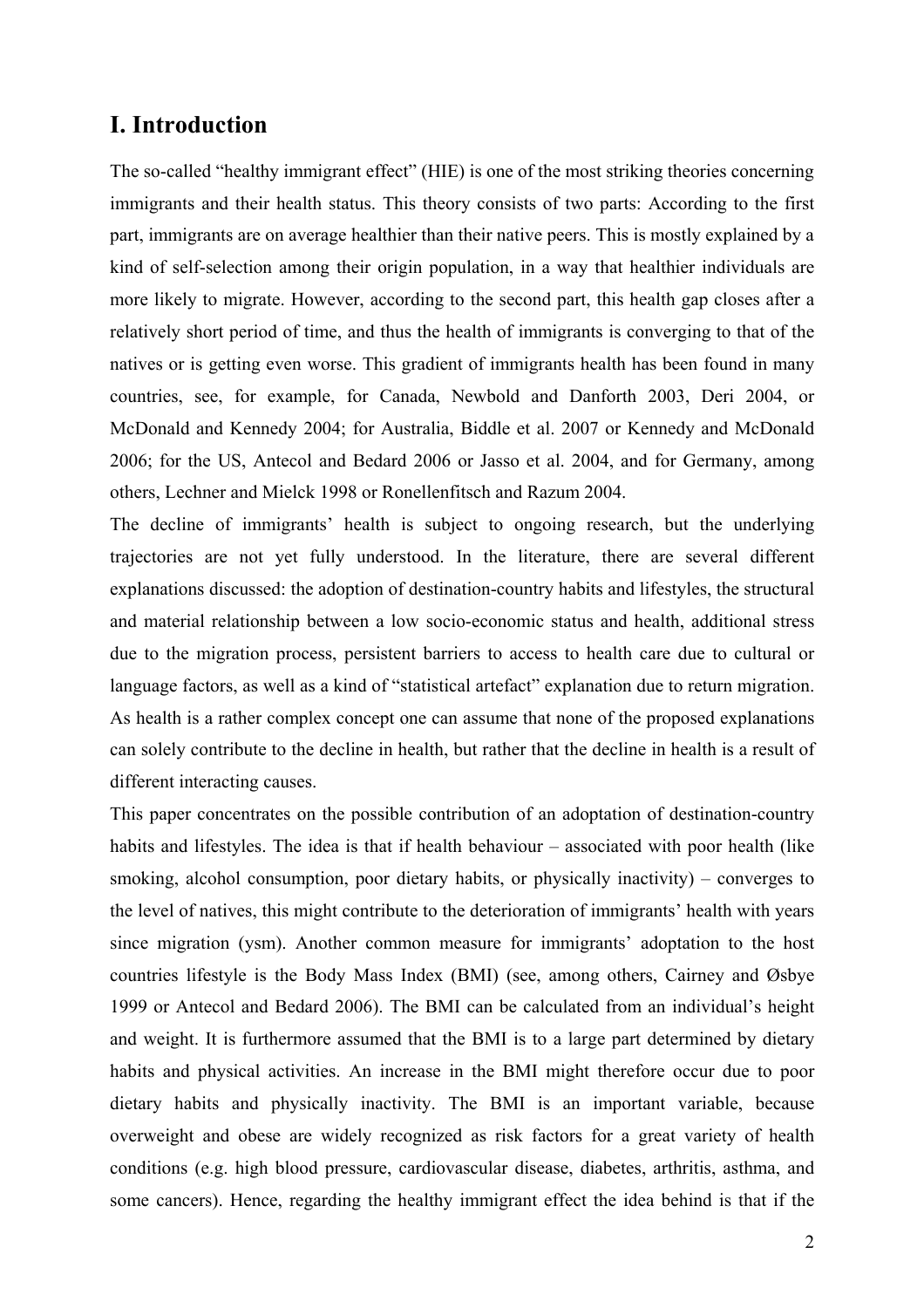# **I. Introduction**

The so-called "healthy immigrant effect" (HIE) is one of the most striking theories concerning immigrants and their health status. This theory consists of two parts: According to the first part, immigrants are on average healthier than their native peers. This is mostly explained by a kind of self-selection among their origin population, in a way that healthier individuals are more likely to migrate. However, according to the second part, this health gap closes after a relatively short period of time, and thus the health of immigrants is converging to that of the natives or is getting even worse. This gradient of immigrants health has been found in many countries, see, for example, for Canada, Newbold and Danforth 2003, Deri 2004, or McDonald and Kennedy 2004; for Australia, Biddle et al. 2007 or Kennedy and McDonald 2006; for the US, Antecol and Bedard 2006 or Jasso et al. 2004, and for Germany, among others, Lechner and Mielck 1998 or Ronellenfitsch and Razum 2004.

The decline of immigrants' health is subject to ongoing research, but the underlying trajectories are not yet fully understood. In the literature, there are several different explanations discussed: the adoption of destination-country habits and lifestyles, the structural and material relationship between a low socio-economic status and health, additional stress due to the migration process, persistent barriers to access to health care due to cultural or language factors, as well as a kind of "statistical artefact" explanation due to return migration. As health is a rather complex concept one can assume that none of the proposed explanations can solely contribute to the decline in health, but rather that the decline in health is a result of different interacting causes.

This paper concentrates on the possible contribution of an adoptation of destination-country habits and lifestyles. The idea is that if health behaviour – associated with poor health (like smoking, alcohol consumption, poor dietary habits, or physically inactivity) – converges to the level of natives, this might contribute to the deterioration of immigrants' health with years since migration (ysm). Another common measure for immigrants' adoptation to the host countries lifestyle is the Body Mass Index (BMI) (see, among others, Cairney and Øsbye 1999 or Antecol and Bedard 2006). The BMI can be calculated from an individual's height and weight. It is furthermore assumed that the BMI is to a large part determined by dietary habits and physical activities. An increase in the BMI might therefore occur due to poor dietary habits and physically inactivity. The BMI is an important variable, because overweight and obese are widely recognized as risk factors for a great variety of health conditions (e.g. high blood pressure, cardiovascular disease, diabetes, arthritis, asthma, and some cancers). Hence, regarding the healthy immigrant effect the idea behind is that if the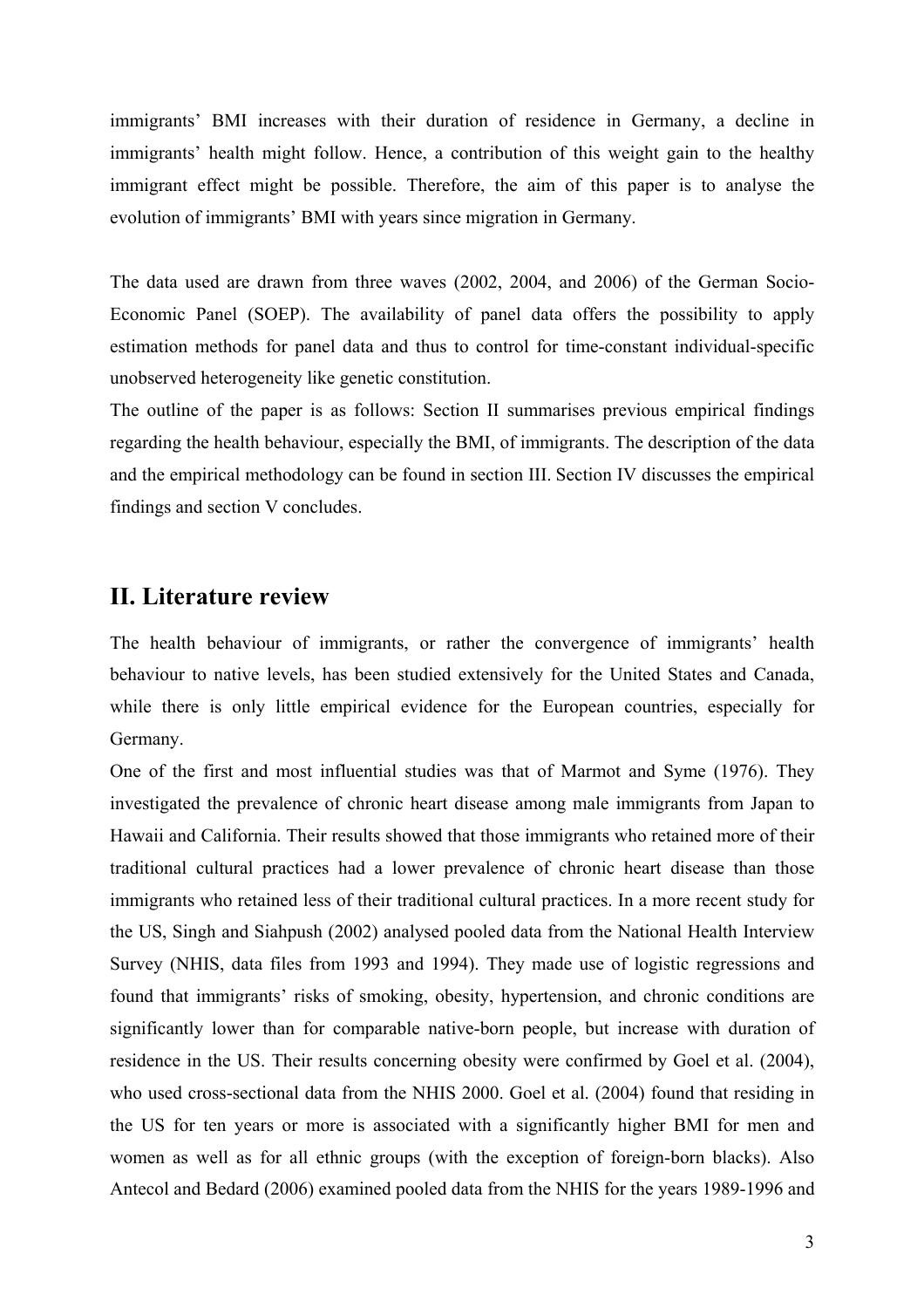immigrants' BMI increases with their duration of residence in Germany, a decline in immigrants' health might follow. Hence, a contribution of this weight gain to the healthy immigrant effect might be possible. Therefore, the aim of this paper is to analyse the evolution of immigrants' BMI with years since migration in Germany.

The data used are drawn from three waves (2002, 2004, and 2006) of the German Socio-Economic Panel (SOEP). The availability of panel data offers the possibility to apply estimation methods for panel data and thus to control for time-constant individual-specific unobserved heterogeneity like genetic constitution.

The outline of the paper is as follows: Section II summarises previous empirical findings regarding the health behaviour, especially the BMI, of immigrants. The description of the data and the empirical methodology can be found in section III. Section IV discusses the empirical findings and section V concludes.

### **II. Literature review**

The health behaviour of immigrants, or rather the convergence of immigrants' health behaviour to native levels, has been studied extensively for the United States and Canada, while there is only little empirical evidence for the European countries, especially for Germany.

One of the first and most influential studies was that of Marmot and Syme (1976). They investigated the prevalence of chronic heart disease among male immigrants from Japan to Hawaii and California. Their results showed that those immigrants who retained more of their traditional cultural practices had a lower prevalence of chronic heart disease than those immigrants who retained less of their traditional cultural practices. In a more recent study for the US, Singh and Siahpush (2002) analysed pooled data from the National Health Interview Survey (NHIS, data files from 1993 and 1994). They made use of logistic regressions and found that immigrants' risks of smoking, obesity, hypertension, and chronic conditions are significantly lower than for comparable native-born people, but increase with duration of residence in the US. Their results concerning obesity were confirmed by Goel et al. (2004), who used cross-sectional data from the NHIS 2000. Goel et al. (2004) found that residing in the US for ten years or more is associated with a significantly higher BMI for men and women as well as for all ethnic groups (with the exception of foreign-born blacks). Also Antecol and Bedard (2006) examined pooled data from the NHIS for the years 1989-1996 and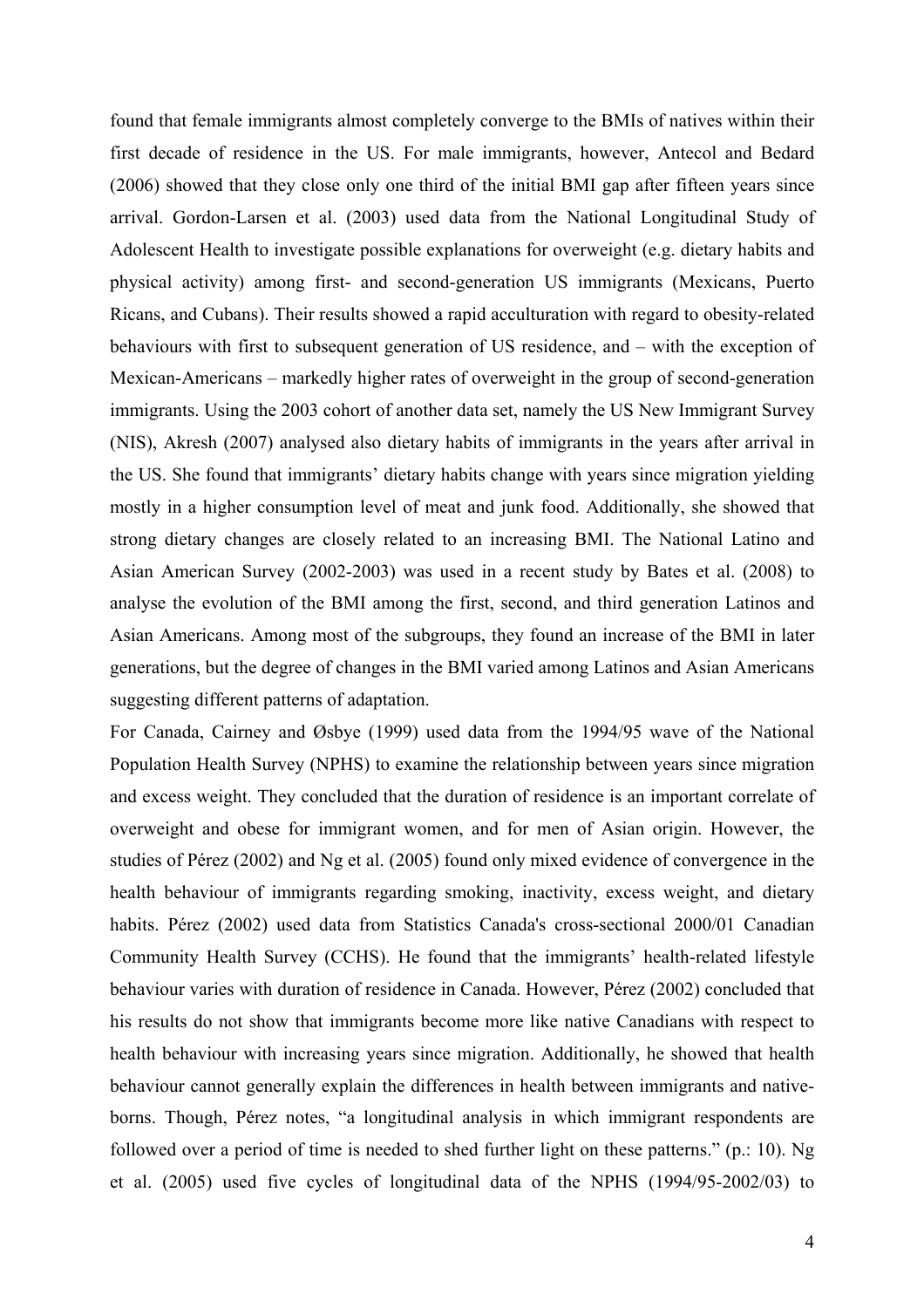found that female immigrants almost completely converge to the BMIs of natives within their first decade of residence in the US. For male immigrants, however, Antecol and Bedard (2006) showed that they close only one third of the initial BMI gap after fifteen years since arrival. Gordon-Larsen et al. (2003) used data from the National Longitudinal Study of Adolescent Health to investigate possible explanations for overweight (e.g. dietary habits and physical activity) among first- and second-generation US immigrants (Mexicans, Puerto Ricans, and Cubans). Their results showed a rapid acculturation with regard to obesity-related behaviours with first to subsequent generation of US residence, and – with the exception of Mexican-Americans – markedly higher rates of overweight in the group of second-generation immigrants. Using the 2003 cohort of another data set, namely the US New Immigrant Survey (NIS), Akresh (2007) analysed also dietary habits of immigrants in the years after arrival in the US. She found that immigrants' dietary habits change with years since migration yielding mostly in a higher consumption level of meat and junk food. Additionally, she showed that strong dietary changes are closely related to an increasing BMI. The National Latino and Asian American Survey (2002-2003) was used in a recent study by Bates et al. (2008) to analyse the evolution of the BMI among the first, second, and third generation Latinos and Asian Americans. Among most of the subgroups, they found an increase of the BMI in later generations, but the degree of changes in the BMI varied among Latinos and Asian Americans suggesting different patterns of adaptation.

For Canada, Cairney and Øsbye (1999) used data from the 1994/95 wave of the National Population Health Survey (NPHS) to examine the relationship between years since migration and excess weight. They concluded that the duration of residence is an important correlate of overweight and obese for immigrant women, and for men of Asian origin. However, the studies of Pérez (2002) and Ng et al. (2005) found only mixed evidence of convergence in the health behaviour of immigrants regarding smoking, inactivity, excess weight, and dietary habits. Pérez (2002) used data from Statistics Canada's cross-sectional 2000/01 Canadian Community Health Survey (CCHS). He found that the immigrants' health-related lifestyle behaviour varies with duration of residence in Canada. However, Pérez (2002) concluded that his results do not show that immigrants become more like native Canadians with respect to health behaviour with increasing years since migration. Additionally, he showed that health behaviour cannot generally explain the differences in health between immigrants and nativeborns. Though, Pérez notes, "a longitudinal analysis in which immigrant respondents are followed over a period of time is needed to shed further light on these patterns." (p.: 10). Ng et al. (2005) used five cycles of longitudinal data of the NPHS (1994/95-2002/03) to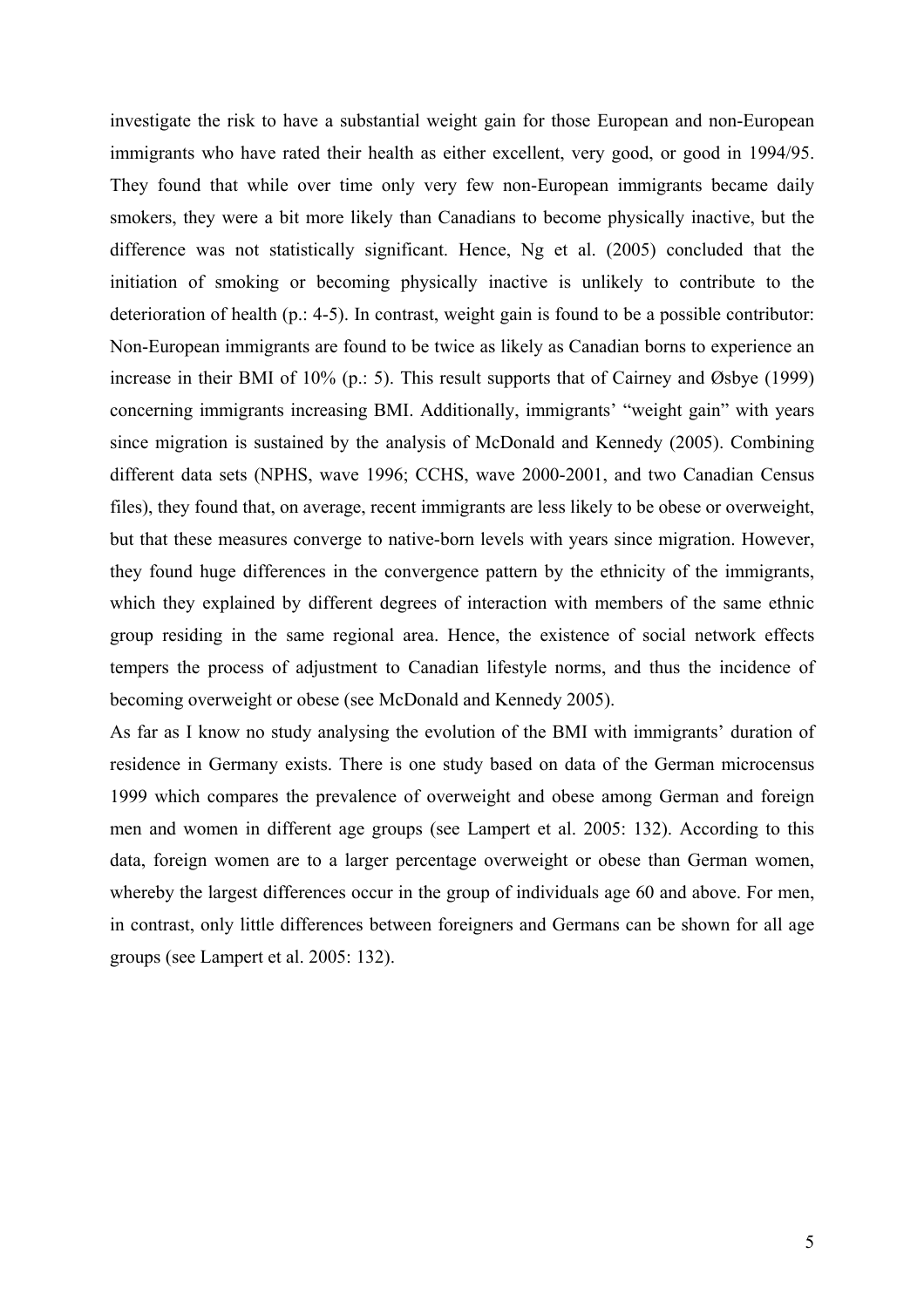investigate the risk to have a substantial weight gain for those European and non-European immigrants who have rated their health as either excellent, very good, or good in 1994/95. They found that while over time only very few non-European immigrants became daily smokers, they were a bit more likely than Canadians to become physically inactive, but the difference was not statistically significant. Hence, Ng et al. (2005) concluded that the initiation of smoking or becoming physically inactive is unlikely to contribute to the deterioration of health (p.: 4-5). In contrast, weight gain is found to be a possible contributor: Non-European immigrants are found to be twice as likely as Canadian borns to experience an increase in their BMI of 10% (p.: 5). This result supports that of Cairney and Øsbye (1999) concerning immigrants increasing BMI. Additionally, immigrants' "weight gain" with years since migration is sustained by the analysis of McDonald and Kennedy (2005). Combining different data sets (NPHS, wave 1996; CCHS, wave 2000-2001, and two Canadian Census files), they found that, on average, recent immigrants are less likely to be obese or overweight, but that these measures converge to native-born levels with years since migration. However, they found huge differences in the convergence pattern by the ethnicity of the immigrants, which they explained by different degrees of interaction with members of the same ethnic group residing in the same regional area. Hence, the existence of social network effects tempers the process of adjustment to Canadian lifestyle norms, and thus the incidence of becoming overweight or obese (see McDonald and Kennedy 2005).

As far as I know no study analysing the evolution of the BMI with immigrants' duration of residence in Germany exists. There is one study based on data of the German microcensus 1999 which compares the prevalence of overweight and obese among German and foreign men and women in different age groups (see Lampert et al. 2005: 132). According to this data, foreign women are to a larger percentage overweight or obese than German women, whereby the largest differences occur in the group of individuals age 60 and above. For men, in contrast, only little differences between foreigners and Germans can be shown for all age groups (see Lampert et al. 2005: 132).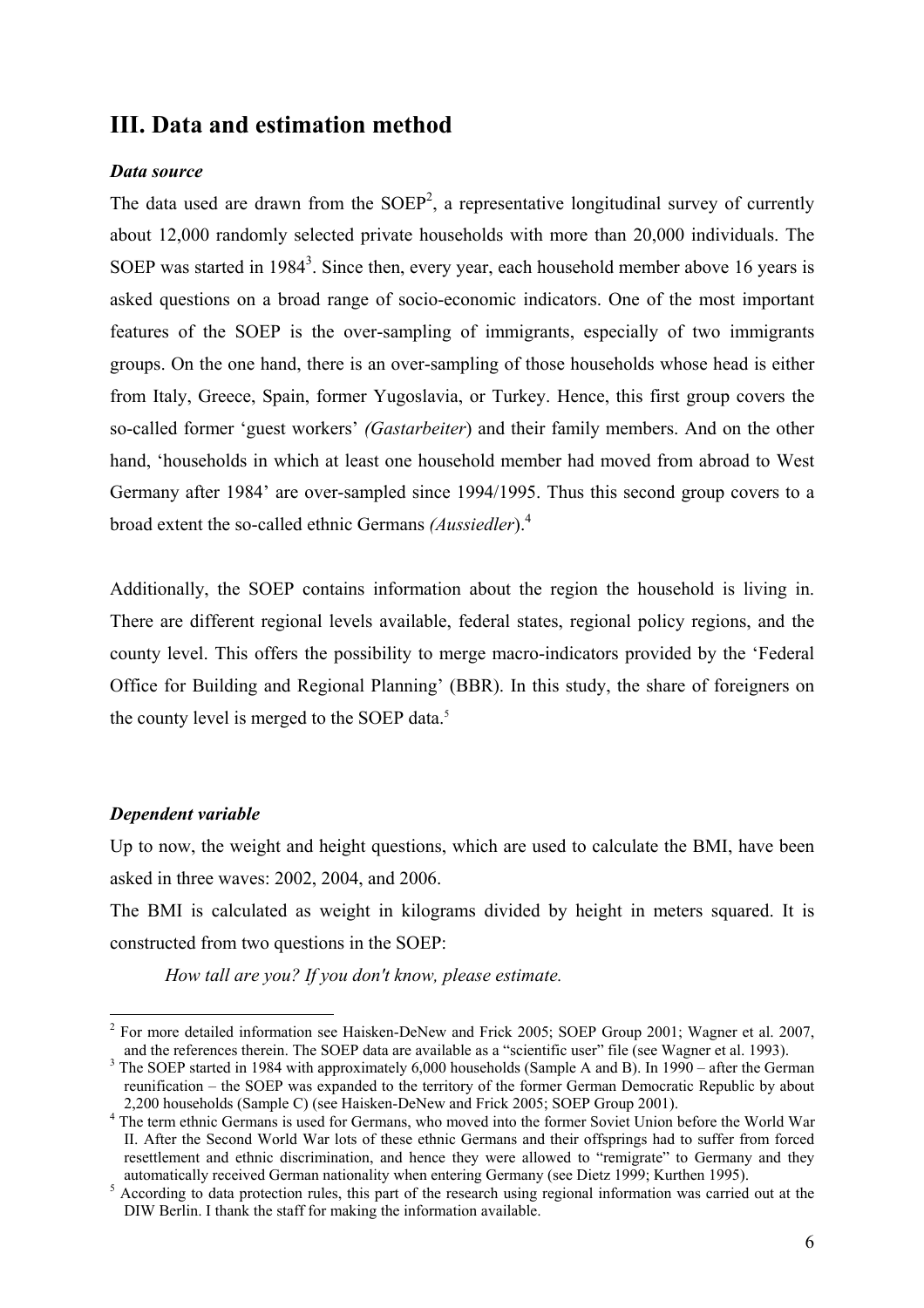# **III. Data and estimation method**

#### *Data source*

The data used are drawn from the  $SOEP<sup>2</sup>$ , a representative longitudinal survey of currently about 12,000 randomly selected private households with more than 20,000 individuals. The SOEP was started in 1984<sup>3</sup>. Since then, every year, each household member above 16 years is asked questions on a broad range of socio-economic indicators. One of the most important features of the SOEP is the over-sampling of immigrants, especially of two immigrants groups. On the one hand, there is an over-sampling of those households whose head is either from Italy, Greece, Spain, former Yugoslavia, or Turkey. Hence, this first group covers the so-called former 'guest workers' *(Gastarbeiter*) and their family members. And on the other hand, 'households in which at least one household member had moved from abroad to West Germany after 1984' are over-sampled since 1994/1995. Thus this second group covers to a broad extent the so-called ethnic Germans *(Aussiedler*).4

Additionally, the SOEP contains information about the region the household is living in. There are different regional levels available, federal states, regional policy regions, and the county level. This offers the possibility to merge macro-indicators provided by the 'Federal Office for Building and Regional Planning' (BBR). In this study, the share of foreigners on the county level is merged to the SOEP data.<sup>5</sup>

#### *Dependent variable*

<u>.</u>

Up to now, the weight and height questions, which are used to calculate the BMI, have been asked in three waves: 2002, 2004, and 2006.

The BMI is calculated as weight in kilograms divided by height in meters squared. It is constructed from two questions in the SOEP:

*How tall are you? If you don't know, please estimate.* 

 $2^2$  For more detailed information see Haisken-DeNew and Frick 2005; SOEP Group 2001; Wagner et al. 2007, and the references therein. The SOEP data are available as a "scientific user" file (see Wagner et al. 1993).

<sup>&</sup>lt;sup>3</sup> The SOEP started in 1984 with approximately 6,000 households (Sample A and B). In 1990 – after the German reunification – the SOEP was expanded to the territory of the former German Democratic Republic by about 2,200 households (Sample C) (see Haisken-DeNew and Frick 2005; SOEP Group 2001). 4

<sup>&</sup>lt;sup>4</sup> The term ethnic Germans is used for Germans, who moved into the former Soviet Union before the World War II. After the Second World War lots of these ethnic Germans and their offsprings had to suffer from forced resettlement and ethnic discrimination, and hence they were allowed to "remigrate" to Germany and they

automatically received German nationality when entering Germany (see Dietz 1999; Kurthen 1995).<br><sup>5</sup> According to data protection rules, this part of the research using regional information was carried out at the DIW Berlin. I thank the staff for making the information available.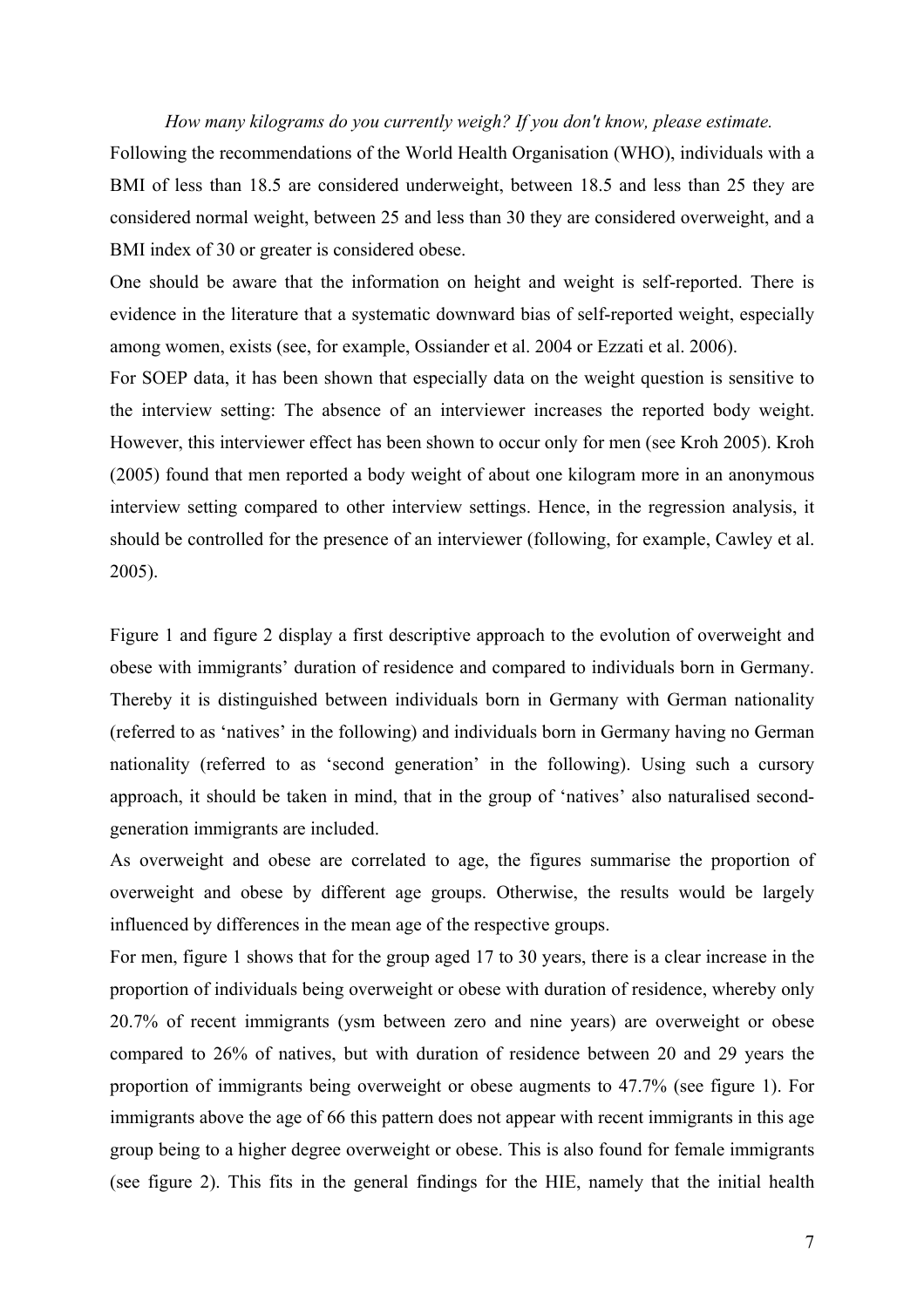#### *How many kilograms do you currently weigh? If you don't know, please estimate.*

Following the recommendations of the World Health Organisation (WHO), individuals with a BMI of less than 18.5 are considered underweight, between 18.5 and less than 25 they are considered normal weight, between 25 and less than 30 they are considered overweight, and a BMI index of 30 or greater is considered obese.

One should be aware that the information on height and weight is self-reported. There is evidence in the literature that a systematic downward bias of self-reported weight, especially among women, exists (see, for example, Ossiander et al. 2004 or Ezzati et al. 2006).

For SOEP data, it has been shown that especially data on the weight question is sensitive to the interview setting: The absence of an interviewer increases the reported body weight. However, this interviewer effect has been shown to occur only for men (see Kroh 2005). Kroh (2005) found that men reported a body weight of about one kilogram more in an anonymous interview setting compared to other interview settings. Hence, in the regression analysis, it should be controlled for the presence of an interviewer (following, for example, Cawley et al. 2005).

Figure 1 and figure 2 display a first descriptive approach to the evolution of overweight and obese with immigrants' duration of residence and compared to individuals born in Germany. Thereby it is distinguished between individuals born in Germany with German nationality (referred to as 'natives' in the following) and individuals born in Germany having no German nationality (referred to as 'second generation' in the following). Using such a cursory approach, it should be taken in mind, that in the group of 'natives' also naturalised secondgeneration immigrants are included.

As overweight and obese are correlated to age, the figures summarise the proportion of overweight and obese by different age groups. Otherwise, the results would be largely influenced by differences in the mean age of the respective groups.

For men, figure 1 shows that for the group aged 17 to 30 years, there is a clear increase in the proportion of individuals being overweight or obese with duration of residence, whereby only 20.7% of recent immigrants (ysm between zero and nine years) are overweight or obese compared to 26% of natives, but with duration of residence between 20 and 29 years the proportion of immigrants being overweight or obese augments to 47.7% (see figure 1). For immigrants above the age of 66 this pattern does not appear with recent immigrants in this age group being to a higher degree overweight or obese. This is also found for female immigrants (see figure 2). This fits in the general findings for the HIE, namely that the initial health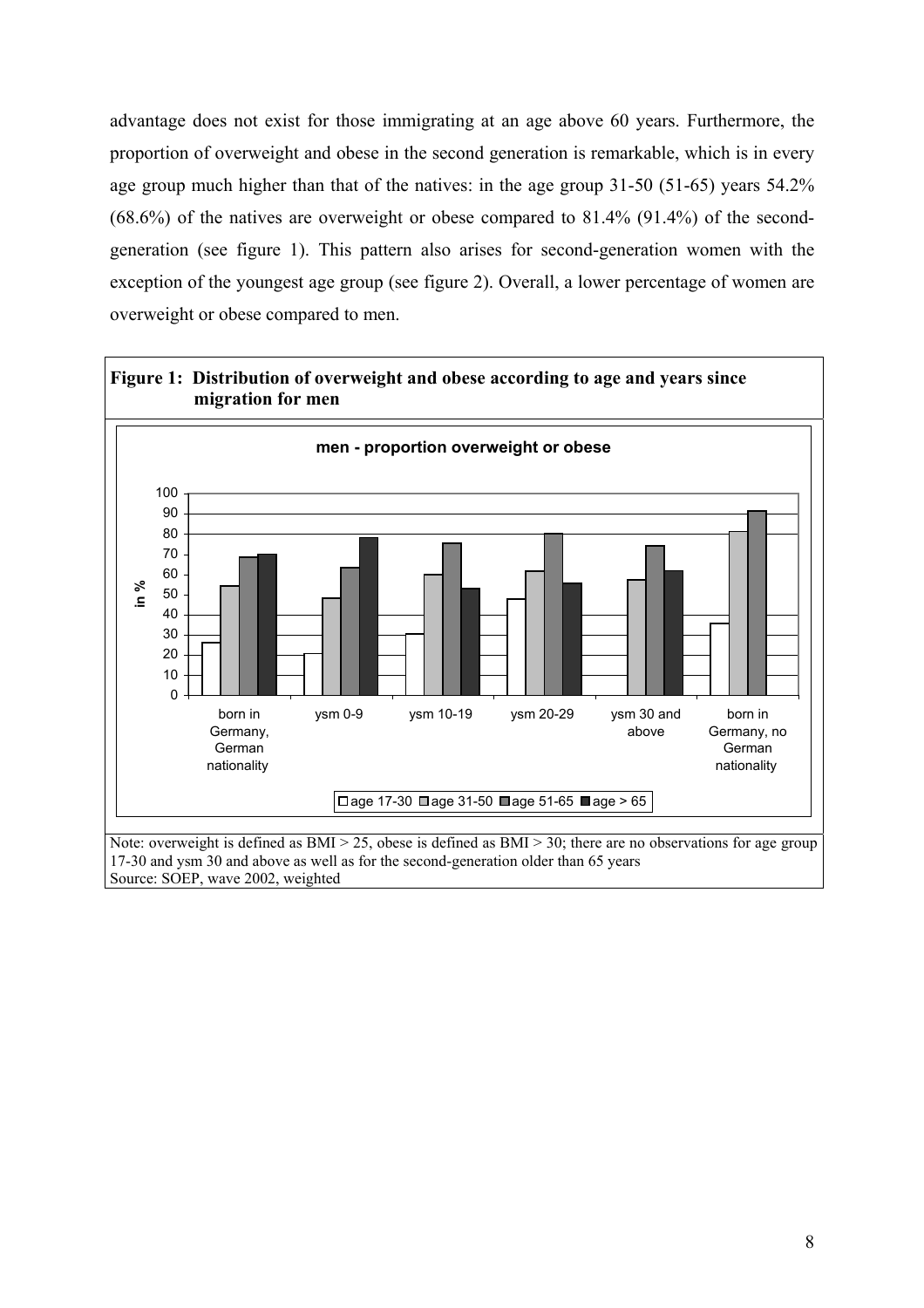advantage does not exist for those immigrating at an age above 60 years. Furthermore, the proportion of overweight and obese in the second generation is remarkable, which is in every age group much higher than that of the natives: in the age group 31-50 (51-65) years 54.2%  $(68.6%)$  of the natives are overweight or obese compared to  $81.4%$   $(91.4%)$  of the secondgeneration (see figure 1). This pattern also arises for second-generation women with the exception of the youngest age group (see figure 2). Overall, a lower percentage of women are overweight or obese compared to men.



Source: SOEP, wave 2002, weighted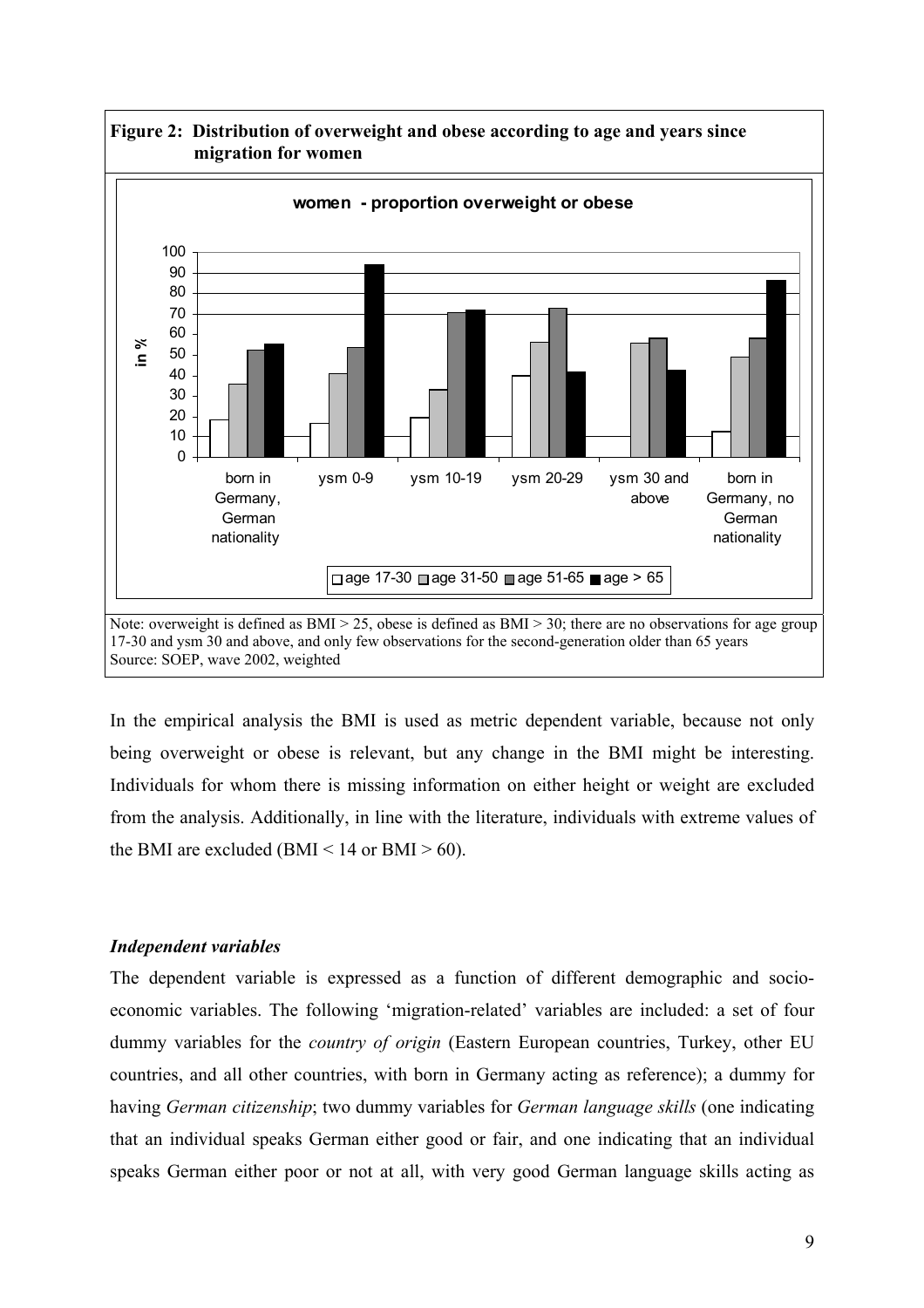

**Figure 2: Distribution of overweight and obese according to age and years since** 

In the empirical analysis the BMI is used as metric dependent variable, because not only being overweight or obese is relevant, but any change in the BMI might be interesting. Individuals for whom there is missing information on either height or weight are excluded from the analysis. Additionally, in line with the literature, individuals with extreme values of the BMI are excluded (BMI  $<$  14 or BMI  $>$  60).

### *Independent variables*

The dependent variable is expressed as a function of different demographic and socioeconomic variables. The following 'migration-related' variables are included: a set of four dummy variables for the *country of origin* (Eastern European countries, Turkey, other EU countries, and all other countries, with born in Germany acting as reference); a dummy for having *German citizenship*; two dummy variables for *German language skills* (one indicating that an individual speaks German either good or fair, and one indicating that an individual speaks German either poor or not at all, with very good German language skills acting as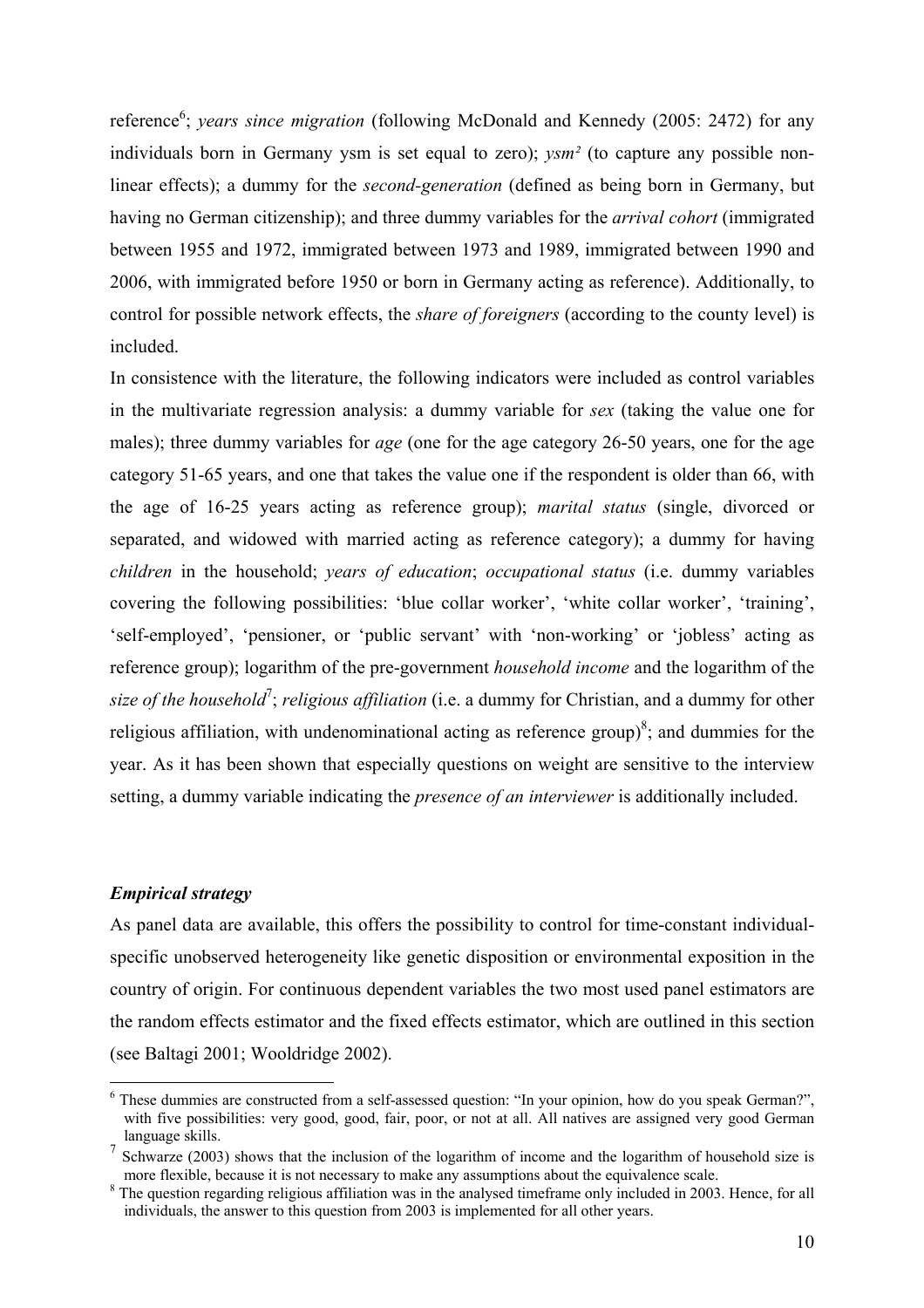reference<sup>6</sup>; *years since migration* (following McDonald and Kennedy (2005: 2472) for any individuals born in Germany ysm is set equal to zero); *ysm²* (to capture any possible nonlinear effects); a dummy for the *second-generation* (defined as being born in Germany, but having no German citizenship); and three dummy variables for the *arrival cohort* (immigrated between 1955 and 1972, immigrated between 1973 and 1989, immigrated between 1990 and 2006, with immigrated before 1950 or born in Germany acting as reference). Additionally, to control for possible network effects, the *share of foreigners* (according to the county level) is included.

In consistence with the literature, the following indicators were included as control variables in the multivariate regression analysis: a dummy variable for *sex* (taking the value one for males); three dummy variables for *age* (one for the age category 26-50 years, one for the age category 51-65 years, and one that takes the value one if the respondent is older than 66, with the age of 16-25 years acting as reference group); *marital status* (single, divorced or separated, and widowed with married acting as reference category); a dummy for having *children* in the household; *years of education*; *occupational status* (i.e. dummy variables covering the following possibilities: 'blue collar worker', 'white collar worker', 'training', 'self-employed', 'pensioner, or 'public servant' with 'non-working' or 'jobless' acting as reference group); logarithm of the pre-government *household income* and the logarithm of the size of the household<sup>7</sup>; religious affiliation (i.e. a dummy for Christian, and a dummy for other religious affiliation, with undenominational acting as reference group)<sup>8</sup>; and dummies for the year. As it has been shown that especially questions on weight are sensitive to the interview setting, a dummy variable indicating the *presence of an interviewer* is additionally included.

#### *Empirical strategy*

1

As panel data are available, this offers the possibility to control for time-constant individualspecific unobserved heterogeneity like genetic disposition or environmental exposition in the country of origin. For continuous dependent variables the two most used panel estimators are the random effects estimator and the fixed effects estimator, which are outlined in this section (see Baltagi 2001; Wooldridge 2002).

<sup>&</sup>lt;sup>6</sup> These dummies are constructed from a self-assessed question: "In your opinion, how do you speak German?", with five possibilities: very good, good, fair, poor, or not at all. All natives are assigned very good German language skills.

Schwarze (2003) shows that the inclusion of the logarithm of income and the logarithm of household size is more flexible, because it is not necessary to make any assumptions about the equivalence scale. 8

<sup>&</sup>lt;sup>8</sup> The question regarding religious affiliation was in the analysed timeframe only included in 2003. Hence, for all individuals, the answer to this question from 2003 is implemented for all other years.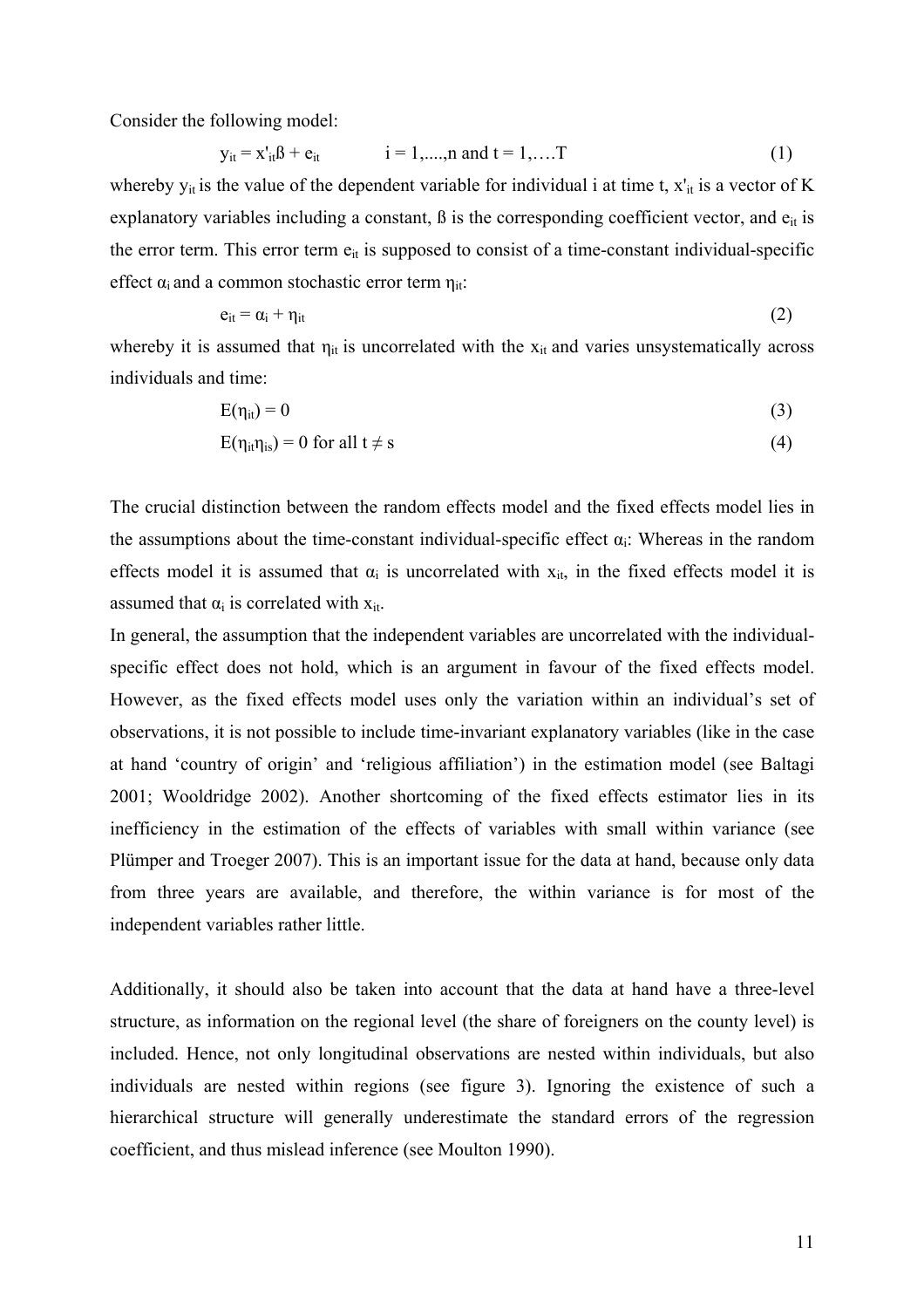Consider the following model:

$$
y_{it} = x'_{it} \beta + e_{it}
$$
   
  $i = 1,...,n$  and  $t = 1,...,T$  (1)

whereby  $y_{it}$  is the value of the dependent variable for individual i at time t,  $x'_{it}$  is a vector of K explanatory variables including a constant,  $\beta$  is the corresponding coefficient vector, and  $e_{it}$  is the error term. This error term  $e_{it}$  is supposed to consist of a time-constant individual-specific effect  $\alpha_i$  and a common stochastic error term  $\eta_{it}$ :

$$
e_{it} = \alpha_i + \eta_{it} \tag{2}
$$

whereby it is assumed that  $\eta_{it}$  is uncorrelated with the  $x_{it}$  and varies unsystematically across individuals and time:

$$
E(\eta_{it}) = 0 \tag{3}
$$

$$
E(\eta_{it}\eta_{is}) = 0 \text{ for all } t \neq s \tag{4}
$$

The crucial distinction between the random effects model and the fixed effects model lies in the assumptions about the time-constant individual-specific effect  $\alpha_i$ : Whereas in the random effects model it is assumed that  $\alpha_i$  is uncorrelated with  $x_{it}$ , in the fixed effects model it is assumed that  $\alpha_i$  is correlated with  $x_{it}$ .

In general, the assumption that the independent variables are uncorrelated with the individualspecific effect does not hold, which is an argument in favour of the fixed effects model. However, as the fixed effects model uses only the variation within an individual's set of observations, it is not possible to include time-invariant explanatory variables (like in the case at hand 'country of origin' and 'religious affiliation') in the estimation model (see Baltagi 2001; Wooldridge 2002). Another shortcoming of the fixed effects estimator lies in its inefficiency in the estimation of the effects of variables with small within variance (see Plümper and Troeger 2007). This is an important issue for the data at hand, because only data from three years are available, and therefore, the within variance is for most of the independent variables rather little.

Additionally, it should also be taken into account that the data at hand have a three-level structure, as information on the regional level (the share of foreigners on the county level) is included. Hence, not only longitudinal observations are nested within individuals, but also individuals are nested within regions (see figure 3). Ignoring the existence of such a hierarchical structure will generally underestimate the standard errors of the regression coefficient, and thus mislead inference (see Moulton 1990).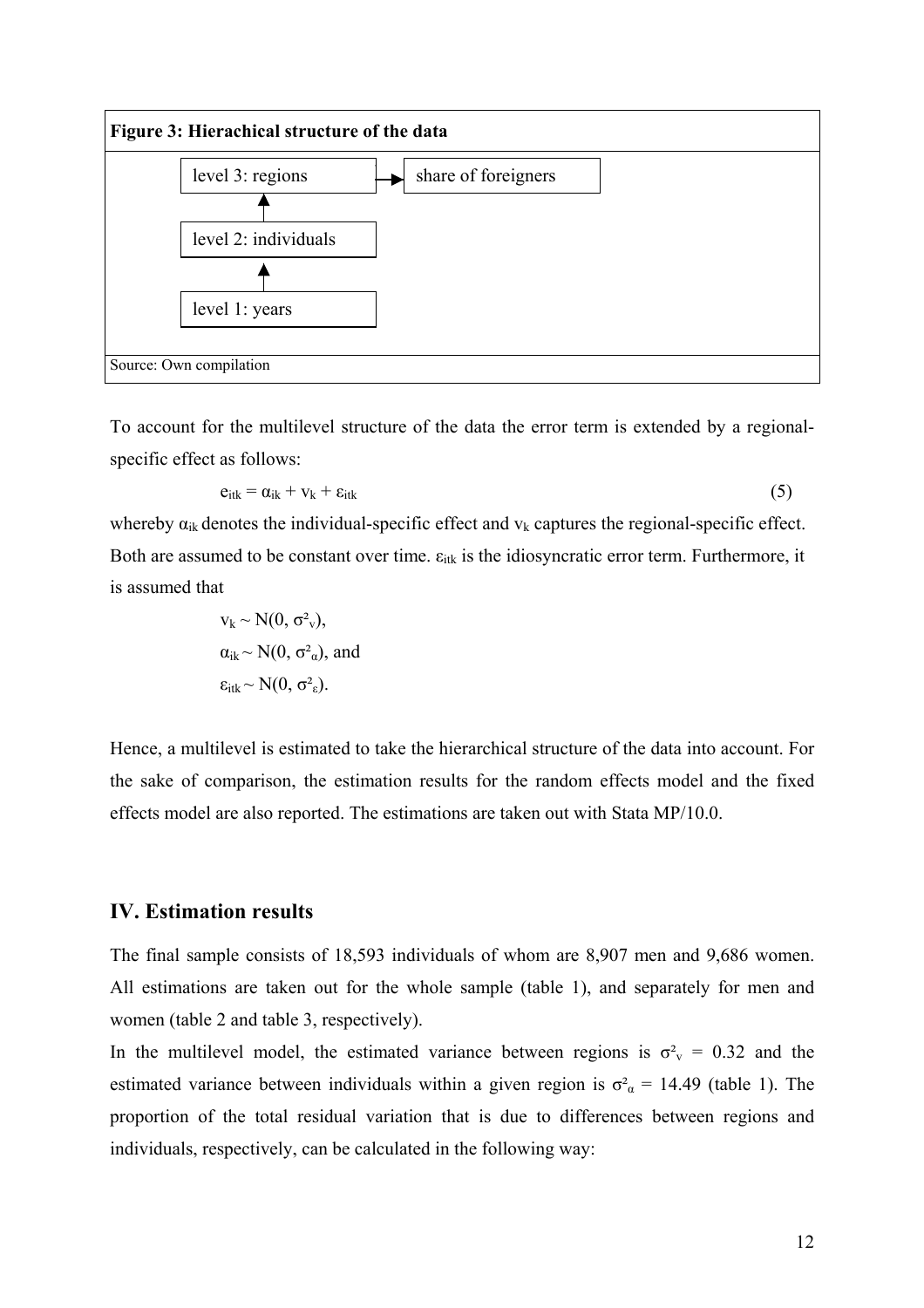

To account for the multilevel structure of the data the error term is extended by a regionalspecific effect as follows:

$$
e_{itk} = \alpha_{ik} + v_k + \varepsilon_{itk} \tag{5}
$$

whereby  $\alpha_{ik}$  denotes the individual-specific effect and  $v_k$  captures the regional-specific effect. Both are assumed to be constant over time.  $\varepsilon_{itk}$  is the idiosyncratic error term. Furthermore, it is assumed that

$$
v_k \sim N(0, \sigma^2 v),
$$
  
\n
$$
\alpha_{ik} \sim N(0, \sigma^2 u)
$$
, and  
\n
$$
\varepsilon_{itk} \sim N(0, \sigma^2 v).
$$

Hence, a multilevel is estimated to take the hierarchical structure of the data into account. For the sake of comparison, the estimation results for the random effects model and the fixed effects model are also reported. The estimations are taken out with Stata MP/10.0.

#### **IV. Estimation results**

The final sample consists of 18,593 individuals of whom are 8,907 men and 9,686 women. All estimations are taken out for the whole sample (table 1), and separately for men and women (table 2 and table 3, respectively).

In the multilevel model, the estimated variance between regions is  $\sigma_{v}^{2} = 0.32$  and the estimated variance between individuals within a given region is  $\sigma_{\alpha}^2 = 14.49$  (table 1). The proportion of the total residual variation that is due to differences between regions and individuals, respectively, can be calculated in the following way: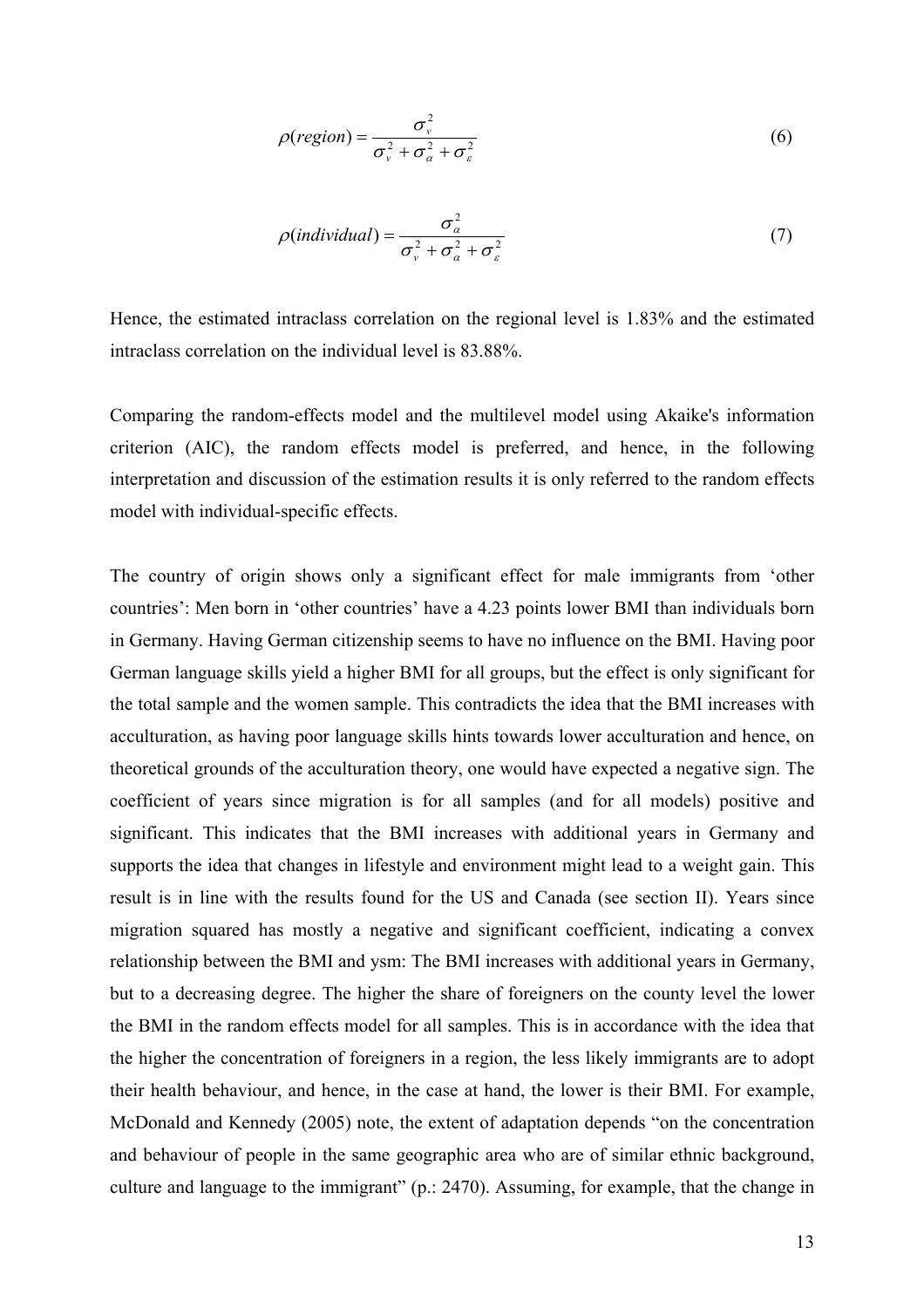$$
\rho(\text{region}) = \frac{\sigma_v^2}{\sigma_v^2 + \sigma_a^2 + \sigma_\varepsilon^2}
$$
\n(6)

$$
\rho(\text{individual}) = \frac{\sigma_{\alpha}^2}{\sigma_{\nu}^2 + \sigma_{\alpha}^2 + \sigma_{\varepsilon}^2}
$$
\n(7)

Hence, the estimated intraclass correlation on the regional level is 1.83% and the estimated intraclass correlation on the individual level is 83.88%.

Comparing the random-effects model and the multilevel model using Akaike's information criterion (AIC), the random effects model is preferred, and hence, in the following interpretation and discussion of the estimation results it is only referred to the random effects model with individual-specific effects.

The country of origin shows only a significant effect for male immigrants from 'other countries': Men born in 'other countries' have a 4.23 points lower BMI than individuals born in Germany. Having German citizenship seems to have no influence on the BMI. Having poor German language skills yield a higher BMI for all groups, but the effect is only significant for the total sample and the women sample. This contradicts the idea that the BMI increases with acculturation, as having poor language skills hints towards lower acculturation and hence, on theoretical grounds of the acculturation theory, one would have expected a negative sign. The coefficient of years since migration is for all samples (and for all models) positive and significant. This indicates that the BMI increases with additional years in Germany and supports the idea that changes in lifestyle and environment might lead to a weight gain. This result is in line with the results found for the US and Canada (see section II). Years since migration squared has mostly a negative and significant coefficient, indicating a convex relationship between the BMI and ysm: The BMI increases with additional years in Germany, but to a decreasing degree. The higher the share of foreigners on the county level the lower the BMI in the random effects model for all samples. This is in accordance with the idea that the higher the concentration of foreigners in a region, the less likely immigrants are to adopt their health behaviour, and hence, in the case at hand, the lower is their BMI. For example, McDonald and Kennedy (2005) note, the extent of adaptation depends "on the concentration and behaviour of people in the same geographic area who are of similar ethnic background, culture and language to the immigrant" (p.: 2470). Assuming, for example, that the change in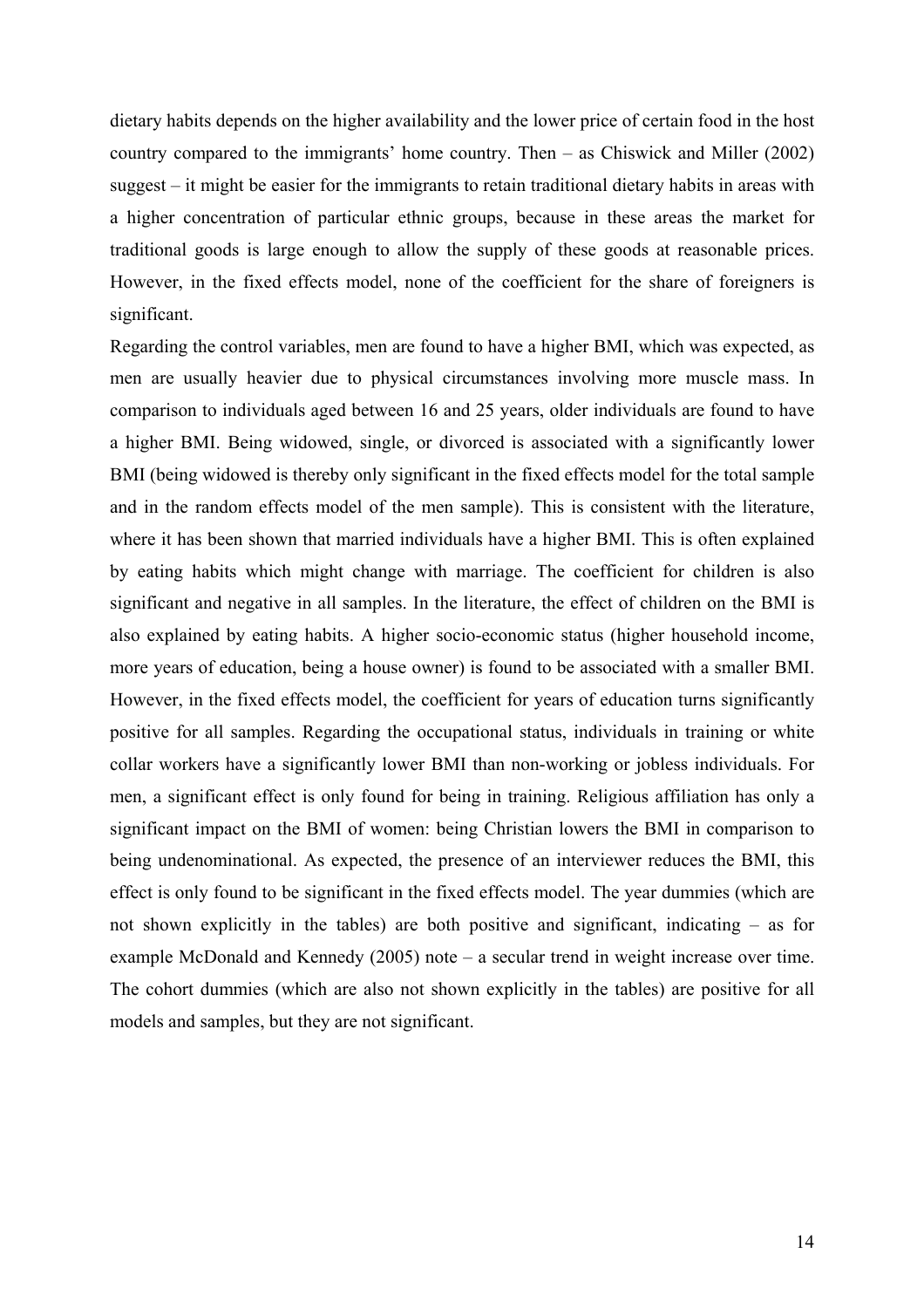dietary habits depends on the higher availability and the lower price of certain food in the host country compared to the immigrants' home country. Then – as Chiswick and Miller (2002) suggest – it might be easier for the immigrants to retain traditional dietary habits in areas with a higher concentration of particular ethnic groups, because in these areas the market for traditional goods is large enough to allow the supply of these goods at reasonable prices. However, in the fixed effects model, none of the coefficient for the share of foreigners is significant.

Regarding the control variables, men are found to have a higher BMI, which was expected, as men are usually heavier due to physical circumstances involving more muscle mass. In comparison to individuals aged between 16 and 25 years, older individuals are found to have a higher BMI. Being widowed, single, or divorced is associated with a significantly lower BMI (being widowed is thereby only significant in the fixed effects model for the total sample and in the random effects model of the men sample). This is consistent with the literature, where it has been shown that married individuals have a higher BMI. This is often explained by eating habits which might change with marriage. The coefficient for children is also significant and negative in all samples. In the literature, the effect of children on the BMI is also explained by eating habits. A higher socio-economic status (higher household income, more years of education, being a house owner) is found to be associated with a smaller BMI. However, in the fixed effects model, the coefficient for years of education turns significantly positive for all samples. Regarding the occupational status, individuals in training or white collar workers have a significantly lower BMI than non-working or jobless individuals. For men, a significant effect is only found for being in training. Religious affiliation has only a significant impact on the BMI of women: being Christian lowers the BMI in comparison to being undenominational. As expected, the presence of an interviewer reduces the BMI, this effect is only found to be significant in the fixed effects model. The year dummies (which are not shown explicitly in the tables) are both positive and significant, indicating – as for example McDonald and Kennedy (2005) note – a secular trend in weight increase over time. The cohort dummies (which are also not shown explicitly in the tables) are positive for all models and samples, but they are not significant.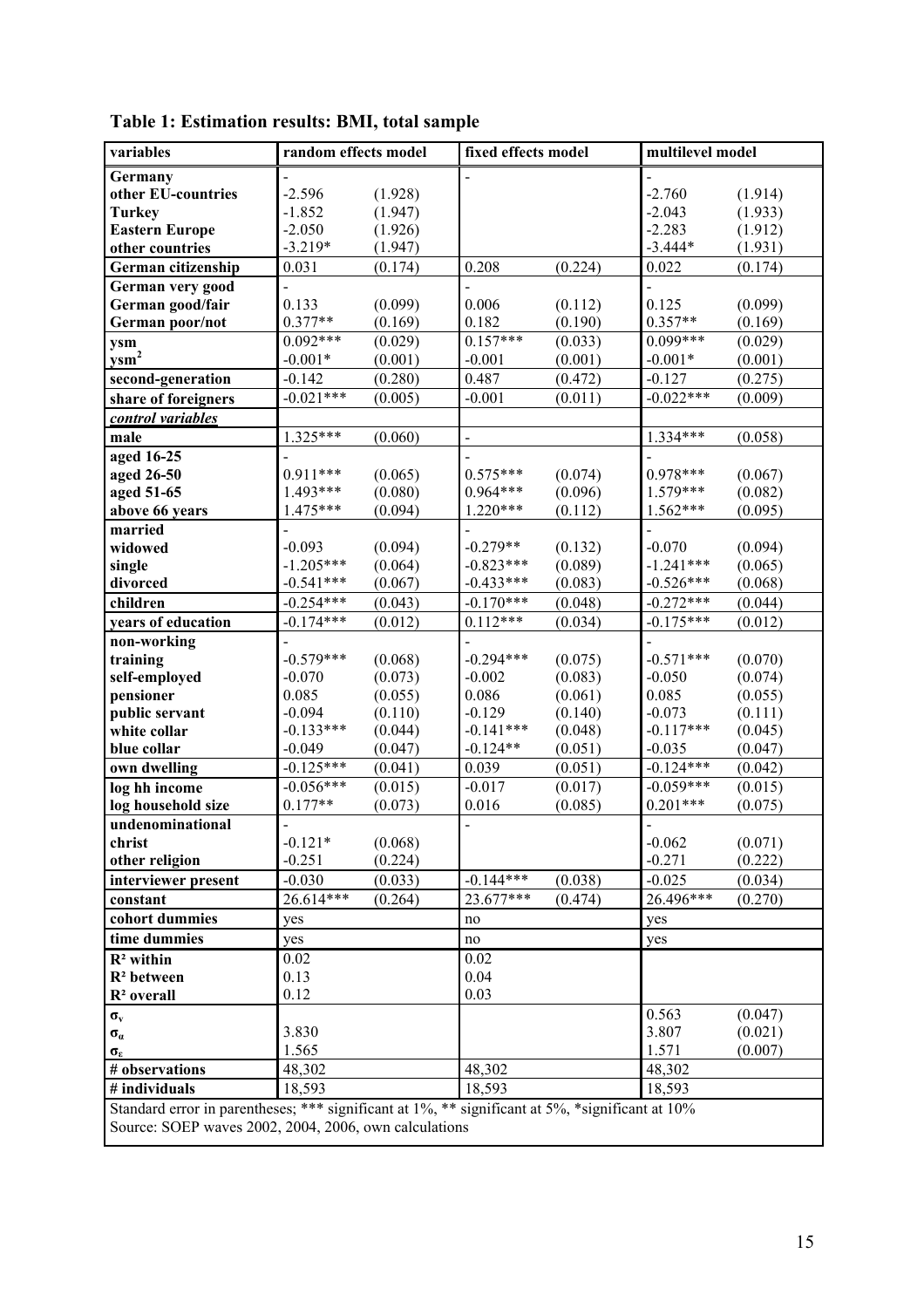| variables                                                                                       | random effects model     |         | fixed effects model |         | multilevel model |         |
|-------------------------------------------------------------------------------------------------|--------------------------|---------|---------------------|---------|------------------|---------|
| Germany                                                                                         |                          |         |                     |         |                  |         |
| other EU-countries                                                                              | $-2.596$                 | (1.928) |                     |         | $-2.760$         | (1.914) |
| <b>Turkey</b>                                                                                   | $-1.852$                 | (1.947) |                     |         | $-2.043$         | (1.933) |
| <b>Eastern Europe</b>                                                                           | $-2.050$                 | (1.926) |                     |         | $-2.283$         | (1.912) |
| other countries                                                                                 | $-3.219*$                | (1.947) |                     |         | $-3.444*$        | (1.931) |
| German citizenship                                                                              | 0.031                    | (0.174) | 0.208               | (0.224) | 0.022            | (0.174) |
| German very good                                                                                |                          |         |                     |         |                  |         |
| German good/fair                                                                                | 0.133                    | (0.099) | 0.006               | (0.112) | 0.125            | (0.099) |
| German poor/not                                                                                 | $0.377**$                | (0.169) | 0.182               | (0.190) | $0.357**$        | (0.169) |
| ysm                                                                                             | $0.092***$               | (0.029) | $0.157***$          | (0.033) | $0.099***$       | (0.029) |
| $ysm2$                                                                                          | $-0.001*$                | (0.001) | $-0.001$            | (0.001) | $-0.001*$        | (0.001) |
| second-generation                                                                               | $-0.142$                 | (0.280) | 0.487               | (0.472) | $-0.127$         | (0.275) |
| share of foreigners                                                                             | $-0.021***$              | (0.005) | $-0.001$            | (0.011) | $-0.022***$      | (0.009) |
| control variables                                                                               |                          |         |                     |         |                  |         |
| male                                                                                            | $1.325***$               | (0.060) |                     |         | $1.334***$       | (0.058) |
| aged 16-25                                                                                      |                          |         |                     |         |                  |         |
| aged 26-50                                                                                      | $0.911***$               | (0.065) | $0.575***$          | (0.074) | $0.978***$       | (0.067) |
| aged 51-65                                                                                      | 1.493***                 | (0.080) | $0.964***$          | (0.096) | $1.579***$       | (0.082) |
| above 66 years                                                                                  | 1.475***                 | (0.094) | $1.220***$          | (0.112) | $1.562***$       | (0.095) |
| married                                                                                         |                          |         |                     |         |                  |         |
| widowed                                                                                         | $-0.093$                 | (0.094) | $-0.279**$          | (0.132) | $-0.070$         | (0.094) |
| single                                                                                          | $-1.205***$              | (0.064) | $-0.823***$         | (0.089) | $-1.241***$      | (0.065) |
| divorced                                                                                        | $-0.541***$              | (0.067) | $-0.433***$         | (0.083) | $-0.526***$      | (0.068) |
| children                                                                                        | $-0.254***$              | (0.043) | $-0.170***$         | (0.048) | $-0.272***$      | (0.044) |
| years of education                                                                              | $-0.174***$              | (0.012) | $0.112***$          | (0.034) | $-0.175***$      | (0.012) |
| non-working                                                                                     |                          |         |                     |         |                  |         |
| training                                                                                        | $-0.579***$              | (0.068) | $-0.294***$         | (0.075) | $-0.571***$      | (0.070) |
| self-employed                                                                                   | $-0.070$                 | (0.073) | $-0.002$            | (0.083) | $-0.050$         | (0.074) |
| pensioner                                                                                       | 0.085                    | (0.055) | 0.086               | (0.061) | 0.085            | (0.055) |
| public servant                                                                                  | $-0.094$                 | (0.110) | $-0.129$            | (0.140) | $-0.073$         | (0.111) |
| white collar                                                                                    | $-0.133***$              | (0.044) | $-0.141***$         | (0.048) | $-0.117***$      | (0.045) |
| blue collar                                                                                     | $-0.049$<br>$-0.125***$  | (0.047) | $-0.124**$          | (0.051) | $-0.035$         | (0.047) |
| own dwelling                                                                                    |                          | (0.041) | 0.039               | (0.051) | $-0.124***$      | (0.042) |
| log hh income                                                                                   | $-0.056***$<br>$0.177**$ | (0.015) | $-0.017$            | (0.017) | $-0.059***$      | (0.015) |
| log household size<br>undenominational                                                          |                          | (0.073) | 0.016               | (0.085) | $0.201***$       | (0.075) |
| christ                                                                                          | $-0.121*$                | (0.068) |                     |         | $-0.062$         | (0.071) |
| other religion                                                                                  | $-0.251$                 | (0.224) |                     |         | $-0.271$         | (0.222) |
| interviewer present                                                                             | $-0.030$                 | (0.033) | $-0.144***$         | (0.038) | $-0.025$         | (0.034) |
| constant                                                                                        | $26.614***$              | (0.264) | 23.677***           | (0.474) | 26.496***        | (0.270) |
| cohort dummies                                                                                  |                          |         | no                  |         |                  |         |
| time dummies                                                                                    | yes                      |         | no                  |         | yes              |         |
|                                                                                                 | yes                      |         |                     |         | yes              |         |
| $R2$ within<br>$R2$ between                                                                     | 0.02<br>0.13             |         | 0.02<br>0.04        |         |                  |         |
| R <sup>2</sup> overall                                                                          | 0.12                     |         | 0.03                |         |                  |         |
|                                                                                                 |                          |         |                     |         | 0.563            | (0.047) |
| $\sigma_{\rm v}$                                                                                | 3.830                    |         |                     |         | 3.807            | (0.021) |
| $\sigma_{\alpha}$                                                                               | 1.565                    |         |                     |         | 1.571            | (0.007) |
| $\sigma_{\epsilon}$<br># observations                                                           | 48,302                   |         | 48,302              |         | 48,302           |         |
| # individuals                                                                                   | 18,593                   |         | 18,593              |         | 18,593           |         |
|                                                                                                 |                          |         |                     |         |                  |         |
| Standard error in parentheses; *** significant at 1%, ** significant at 5%, *significant at 10% |                          |         |                     |         |                  |         |
| Source: SOEP waves 2002, 2004, 2006, own calculations                                           |                          |         |                     |         |                  |         |

**Table 1: Estimation results: BMI, total sample**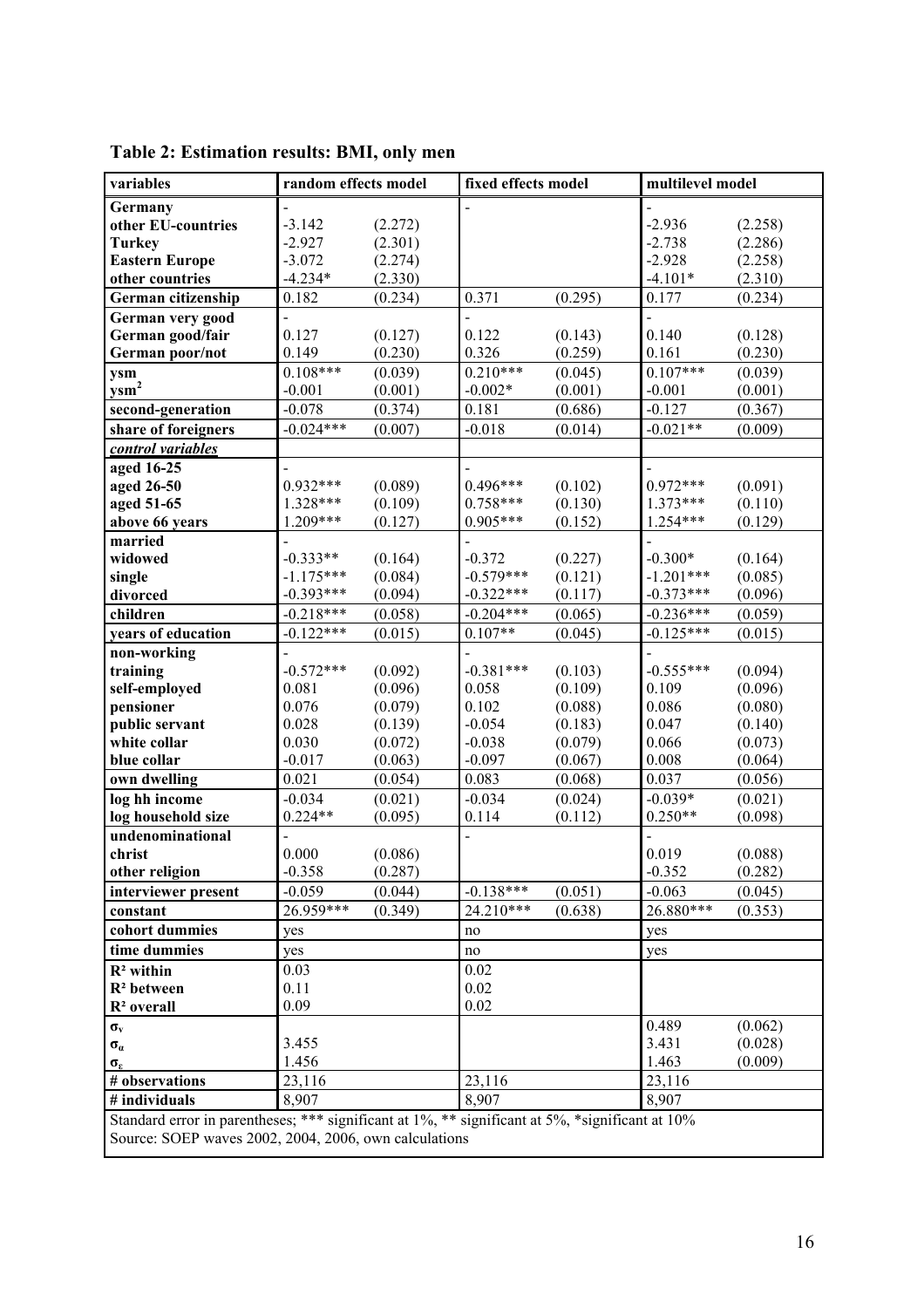| variables                                                                                       | random effects model |                    | fixed effects model |                    | multilevel model |                    |
|-------------------------------------------------------------------------------------------------|----------------------|--------------------|---------------------|--------------------|------------------|--------------------|
| Germany                                                                                         |                      |                    |                     |                    |                  |                    |
| other EU-countries                                                                              | $-3.142$             | (2.272)            |                     |                    | $-2.936$         | (2.258)            |
| <b>Turkey</b>                                                                                   | $-2.927$             | (2.301)            |                     |                    | $-2.738$         | (2.286)            |
| <b>Eastern Europe</b>                                                                           | $-3.072$             | (2.274)            |                     |                    | $-2.928$         | (2.258)            |
| other countries                                                                                 | $-4.234*$            | (2.330)            |                     |                    | $-4.101*$        | (2.310)            |
| German citizenship                                                                              | 0.182                | (0.234)            | 0.371               | (0.295)            | 0.177            | (0.234)            |
| German very good                                                                                |                      |                    |                     |                    |                  |                    |
| German good/fair                                                                                | 0.127                | (0.127)            | 0.122               | (0.143)            | 0.140            | (0.128)            |
| German poor/not                                                                                 | 0.149                | (0.230)            | 0.326               | (0.259)            | 0.161            | (0.230)            |
| ysm                                                                                             | $0.108***$           | (0.039)            | $0.210***$          | (0.045)            | $0.107***$       | (0.039)            |
| $y$ sm <sup>2</sup>                                                                             | $-0.001$             | (0.001)            | $-0.002*$           | (0.001)            | $-0.001$         | (0.001)            |
| second-generation                                                                               | $-0.078$             | (0.374)            | 0.181               | (0.686)            | $-0.127$         | (0.367)            |
| share of foreigners                                                                             | $-0.024***$          | (0.007)            | $-0.018$            | (0.014)            | $-0.021**$       | (0.009)            |
| control variables                                                                               |                      |                    |                     |                    |                  |                    |
| aged 16-25                                                                                      |                      |                    |                     |                    |                  |                    |
| aged 26-50                                                                                      | $0.932***$           | (0.089)            | $0.496***$          | (0.102)            | $0.972***$       | (0.091)            |
| aged 51-65                                                                                      | 1.328***             | (0.109)            | $0.758***$          | (0.130)            | $1.373***$       | (0.110)            |
| above 66 years                                                                                  | $1.209***$           | (0.127)            | $0.905***$          | (0.152)            | $1.254***$       | (0.129)            |
| married                                                                                         |                      |                    |                     |                    |                  |                    |
| widowed                                                                                         | $-0.333**$           | (0.164)            | $-0.372$            | (0.227)            | $-0.300*$        | (0.164)            |
| single                                                                                          | $-1.175***$          | (0.084)            | $-0.579***$         | (0.121)            | $-1.201***$      | (0.085)            |
| divorced                                                                                        | $-0.393***$          | (0.094)            | $-0.322***$         | (0.117)            | $-0.373***$      | (0.096)            |
| children                                                                                        | $-0.218***$          | (0.058)            | $-0.204***$         | (0.065)            | $-0.236***$      | (0.059)            |
| years of education                                                                              | $-0.122***$          | (0.015)            | $0.107**$           | (0.045)            | $-0.125***$      | (0.015)            |
| non-working                                                                                     |                      |                    |                     |                    |                  |                    |
| training                                                                                        | $-0.572***$          | (0.092)            | $-0.381***$         | (0.103)            | $-0.555***$      | (0.094)            |
| self-employed<br>pensioner                                                                      | 0.081<br>0.076       | (0.096)<br>(0.079) | 0.058<br>0.102      | (0.109)<br>(0.088) | 0.109<br>0.086   | (0.096)<br>(0.080) |
| public servant                                                                                  | 0.028                | (0.139)            | $-0.054$            | (0.183)            | 0.047            | (0.140)            |
| white collar                                                                                    | 0.030                | (0.072)            | $-0.038$            | (0.079)            | 0.066            | (0.073)            |
| blue collar                                                                                     | $-0.017$             | (0.063)            | $-0.097$            | (0.067)            | 0.008            | (0.064)            |
| own dwelling                                                                                    | 0.021                | (0.054)            | 0.083               | (0.068)            | 0.037            | (0.056)            |
| log hh income                                                                                   | $-0.034$             | (0.021)            | $-0.034$            | (0.024)            | $-0.039*$        | (0.021)            |
| log household size                                                                              | $0.224**$            | (0.095)            | 0.114               | (0.112)            | $0.250**$        | (0.098)            |
| undenominational                                                                                |                      |                    |                     |                    |                  |                    |
| christ                                                                                          | 0.000                | (0.086)            |                     |                    | 0.019            | (0.088)            |
| other religion                                                                                  | $-0.358$             | (0.287)            |                     |                    | $-0.352$         | (0.282)            |
| interviewer present                                                                             | $-0.059$             | (0.044)            | $-0.138***$         | (0.051)            | $-0.063$         | (0.045)            |
| constant                                                                                        | 26.959***            | (0.349)            | 24.210***           | (0.638)            | 26.880***        | (0.353)            |
| cohort dummies                                                                                  | yes                  |                    | no                  |                    | yes              |                    |
| time dummies                                                                                    | yes                  |                    | $\rm no$            |                    | yes              |                    |
| $\mathbb{R}^2$ within                                                                           | 0.03                 |                    | 0.02                |                    |                  |                    |
| $R2$ between                                                                                    | 0.11                 |                    | 0.02                |                    |                  |                    |
| $R2$ overall                                                                                    | 0.09                 |                    | 0.02                |                    |                  |                    |
| $\sigma_{\rm v}$                                                                                |                      |                    |                     |                    | 0.489            | (0.062)            |
| $\sigma_{\alpha}$                                                                               | 3.455                |                    |                     |                    | 3.431            | (0.028)            |
| $\sigma_{\epsilon}$                                                                             | 1.456                |                    |                     |                    | 1.463            | (0.009)            |
| # observations                                                                                  | 23,116               |                    | 23,116              |                    | 23,116           |                    |
| # individuals                                                                                   | 8,907                |                    | 8,907               |                    | 8,907            |                    |
| Standard error in parentheses; *** significant at 1%, ** significant at 5%, *significant at 10% |                      |                    |                     |                    |                  |                    |
| Source: SOEP waves 2002, 2004, 2006, own calculations                                           |                      |                    |                     |                    |                  |                    |
|                                                                                                 |                      |                    |                     |                    |                  |                    |

**Table 2: Estimation results: BMI, only men**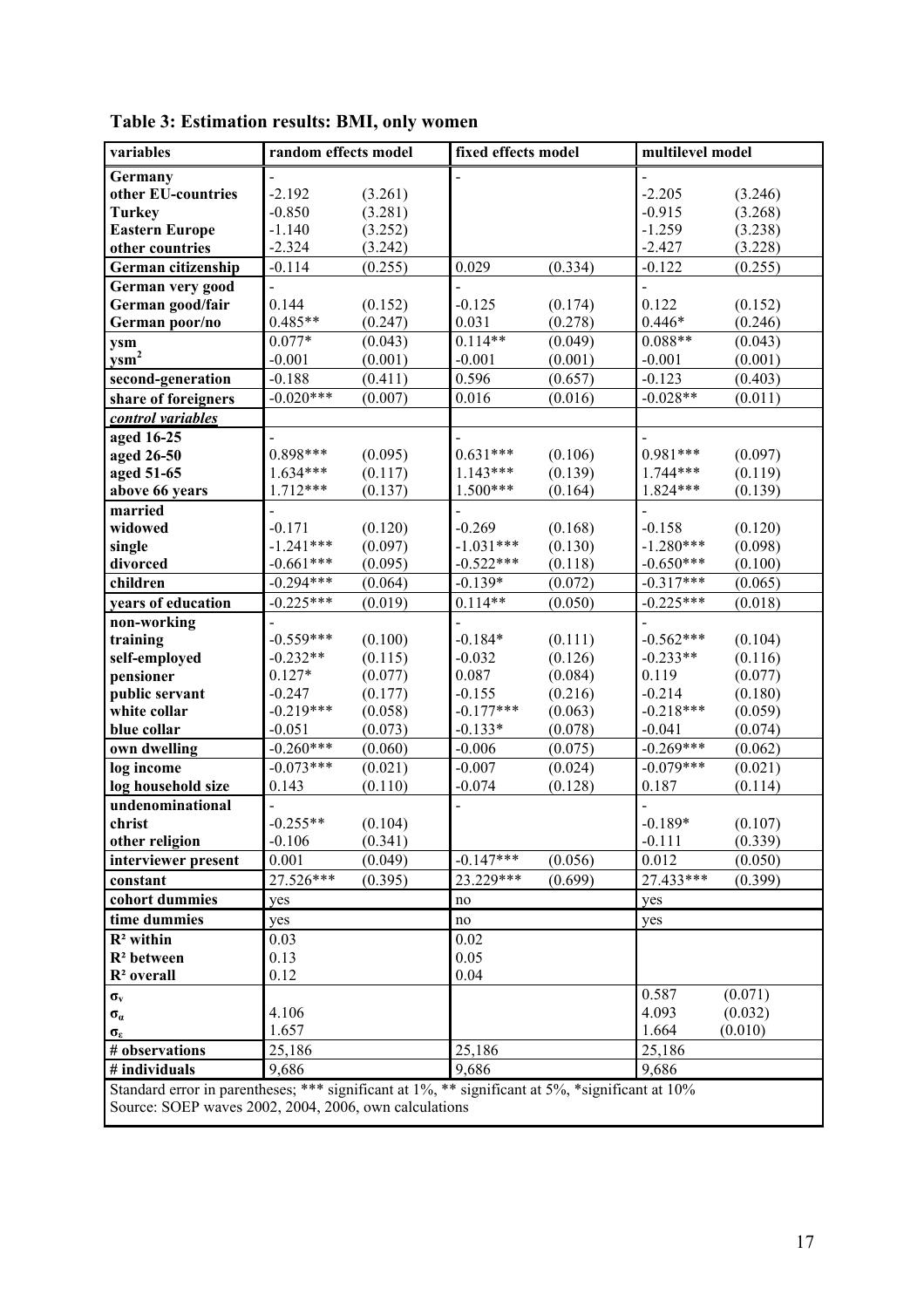| variables                                                                                       | random effects model   |                    | fixed effects model |                    | multilevel model  |                    |
|-------------------------------------------------------------------------------------------------|------------------------|--------------------|---------------------|--------------------|-------------------|--------------------|
| Germany                                                                                         |                        |                    |                     |                    |                   |                    |
| other EU-countries                                                                              | $-2.192$               | (3.261)            |                     |                    | $-2.205$          | (3.246)            |
| <b>Turkey</b>                                                                                   | $-0.850$               | (3.281)            |                     |                    | $-0.915$          | (3.268)            |
| <b>Eastern Europe</b>                                                                           | $-1.140$               | (3.252)            |                     |                    | $-1.259$          | (3.238)            |
| other countries                                                                                 | $-2.324$               | (3.242)            |                     |                    | $-2.427$          | (3.228)            |
| German citizenship                                                                              | $-0.114$               | (0.255)            | 0.029               | (0.334)            | $-0.122$          | (0.255)            |
| German very good                                                                                |                        |                    |                     |                    |                   |                    |
| German good/fair                                                                                | 0.144                  | (0.152)            | $-0.125$            | (0.174)            | 0.122             | (0.152)            |
| German poor/no                                                                                  | $0.485**$              | (0.247)            | 0.031               | (0.278)            | $0.446*$          | (0.246)            |
| ysm                                                                                             | $0.077*$               | (0.043)            | $0.114**$           | (0.049)            | $0.088**$         | (0.043)            |
| $y$ sm <sup>2</sup>                                                                             | $-0.001$               | (0.001)            | $-0.001$            | (0.001)            | $-0.001$          | (0.001)            |
| second-generation                                                                               | $-0.188$               | (0.411)            | 0.596               | (0.657)            | $-0.123$          | (0.403)            |
| share of foreigners                                                                             | $-0.020***$            | (0.007)            | 0.016               | (0.016)            | $-0.028**$        | (0.011)            |
| control variables                                                                               |                        |                    |                     |                    |                   |                    |
| aged 16-25                                                                                      |                        |                    |                     |                    |                   |                    |
| aged 26-50                                                                                      | $0.898***$             | (0.095)            | $0.631***$          | (0.106)            | $0.981***$        | (0.097)            |
| aged 51-65                                                                                      | $1.634***$             | (0.117)            | $1.143***$          | (0.139)            | $1.744***$        | (0.119)            |
| above 66 years                                                                                  | $1.712***$             | (0.137)            | $1.500***$          | (0.164)            | $1.824***$        | (0.139)            |
| married                                                                                         |                        |                    |                     |                    |                   |                    |
| widowed                                                                                         | $-0.171$               | (0.120)            | $-0.269$            | (0.168)            | $-0.158$          | (0.120)            |
| single                                                                                          | $-1.241***$            | (0.097)            | $-1.031***$         | (0.130)            | $-1.280***$       | (0.098)            |
| divorced                                                                                        | $-0.661***$            | (0.095)            | $-0.522***$         | (0.118)            | $-0.650***$       | (0.100)            |
| children                                                                                        | $-0.294***$            | (0.064)            | $-0.139*$           | (0.072)            | $-0.317***$       | (0.065)            |
| years of education                                                                              | $-0.225***$            | (0.019)            | $0.114**$           | (0.050)            | $-0.225***$       | (0.018)            |
| non-working                                                                                     |                        |                    |                     |                    |                   |                    |
| training                                                                                        | $-0.559***$            | (0.100)            | $-0.184*$           | (0.111)            | $-0.562***$       | (0.104)            |
| self-employed                                                                                   | $-0.232**$<br>$0.127*$ | (0.115)            | $-0.032$<br>0.087   | (0.126)            | $-0.233**$        | (0.116)            |
| pensioner<br>public servant                                                                     | $-0.247$               | (0.077)<br>(0.177) | $-0.155$            | (0.084)<br>(0.216) | 0.119<br>$-0.214$ | (0.077)<br>(0.180) |
| white collar                                                                                    | $-0.219***$            | (0.058)            | $-0.177***$         | (0.063)            | $-0.218***$       | (0.059)            |
| blue collar                                                                                     | $-0.051$               | (0.073)            | $-0.133*$           | (0.078)            | $-0.041$          | (0.074)            |
| own dwelling                                                                                    | $-0.260***$            | (0.060)            | $-0.006$            | (0.075)            | $-0.269***$       | (0.062)            |
| log income                                                                                      | $-0.073***$            | (0.021)            | $-0.007$            | (0.024)            | $-0.079***$       | (0.021)            |
| log household size                                                                              | 0.143                  | (0.110)            | $-0.074$            | (0.128)            | 0.187             | (0.114)            |
| undenominational                                                                                |                        |                    |                     |                    |                   |                    |
| christ                                                                                          | $-0.255**$             | (0.104)            |                     |                    | $-0.189*$         | (0.107)            |
| other religion                                                                                  | $-0.106$               | (0.341)            |                     |                    | $-0.111$          | (0.339)            |
| interviewer present                                                                             | 0.001                  | (0.049)            | $-0.147***$         | (0.056)            | 0.012             | (0.050)            |
| constant                                                                                        | 27.526***              | (0.395)            | 23.229***           | (0.699)            | 27.433***         | (0.399)            |
| cohort dummies                                                                                  | yes                    |                    | no                  |                    | yes               |                    |
| time dummies                                                                                    | yes                    |                    | $\rm no$            |                    | yes               |                    |
| $\mathbb{R}^2$ within                                                                           | 0.03                   |                    | 0.02                |                    |                   |                    |
| $R2$ between                                                                                    | 0.13                   |                    | 0.05                |                    |                   |                    |
| R <sup>2</sup> overall                                                                          | 0.12                   |                    | 0.04                |                    |                   |                    |
| $\sigma_{\rm v}$                                                                                |                        |                    |                     |                    | 0.587             | (0.071)            |
| $\sigma_{\alpha}$                                                                               | 4.106                  |                    |                     |                    | 4.093             | (0.032)            |
| $\sigma_{\epsilon}$                                                                             | 1.657                  |                    |                     |                    | 1.664             | (0.010)            |
| # observations                                                                                  | 25,186                 |                    | 25,186              |                    | 25,186            |                    |
| # individuals                                                                                   | 9,686                  |                    | 9,686               |                    | 9,686             |                    |
| Standard error in parentheses; *** significant at 1%, ** significant at 5%, *significant at 10% |                        |                    |                     |                    |                   |                    |
| Source: SOEP waves 2002, 2004, 2006, own calculations                                           |                        |                    |                     |                    |                   |                    |
|                                                                                                 |                        |                    |                     |                    |                   |                    |

| Table 3: Estimation results: BMI, only women |  |  |  |  |
|----------------------------------------------|--|--|--|--|
|----------------------------------------------|--|--|--|--|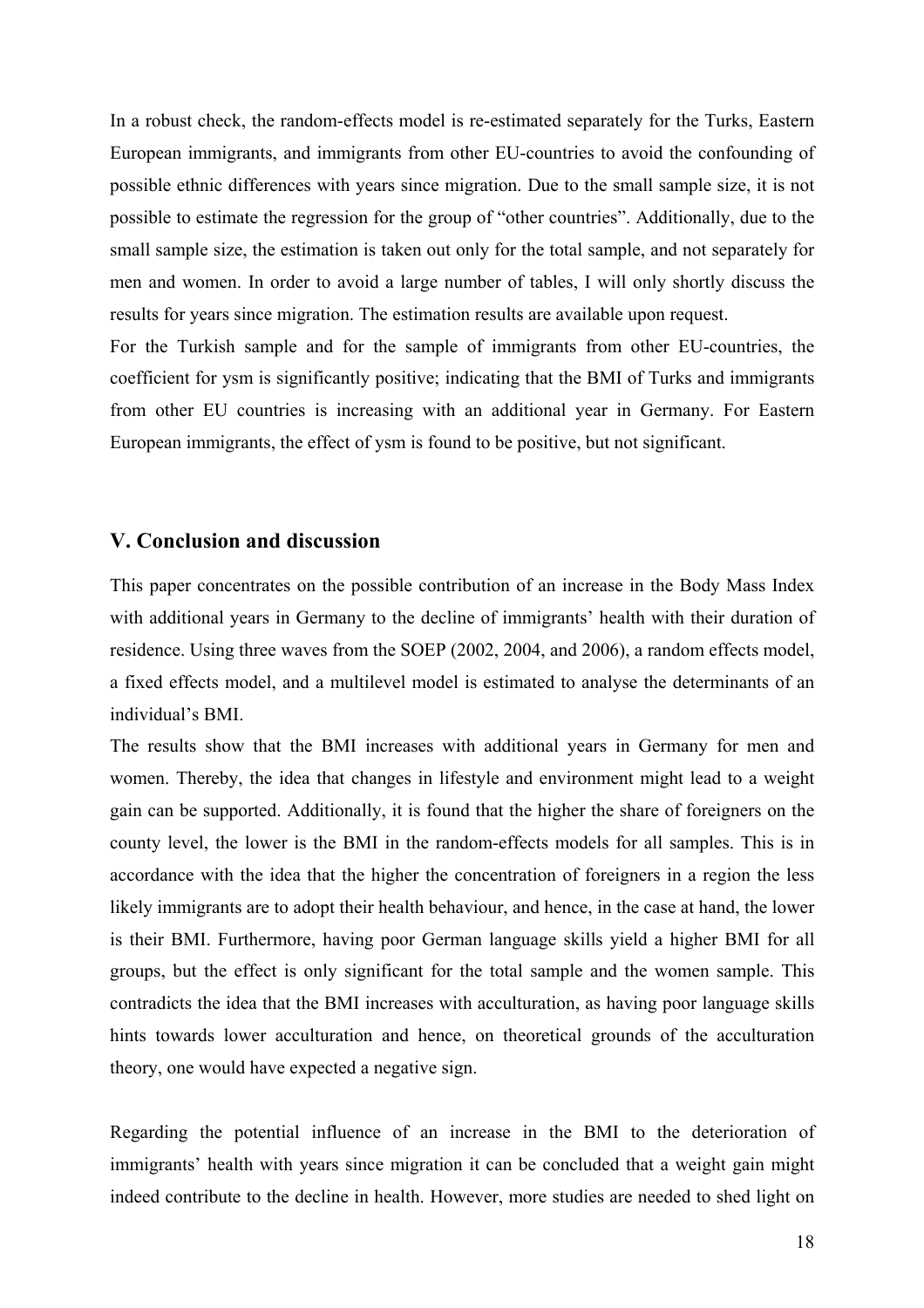In a robust check, the random-effects model is re-estimated separately for the Turks, Eastern European immigrants, and immigrants from other EU-countries to avoid the confounding of possible ethnic differences with years since migration. Due to the small sample size, it is not possible to estimate the regression for the group of "other countries". Additionally, due to the small sample size, the estimation is taken out only for the total sample, and not separately for men and women. In order to avoid a large number of tables, I will only shortly discuss the results for years since migration. The estimation results are available upon request.

For the Turkish sample and for the sample of immigrants from other EU-countries, the coefficient for ysm is significantly positive; indicating that the BMI of Turks and immigrants from other EU countries is increasing with an additional year in Germany. For Eastern European immigrants, the effect of ysm is found to be positive, but not significant.

#### **V. Conclusion and discussion**

This paper concentrates on the possible contribution of an increase in the Body Mass Index with additional years in Germany to the decline of immigrants' health with their duration of residence. Using three waves from the SOEP (2002, 2004, and 2006), a random effects model, a fixed effects model, and a multilevel model is estimated to analyse the determinants of an individual's BMI.

The results show that the BMI increases with additional years in Germany for men and women. Thereby, the idea that changes in lifestyle and environment might lead to a weight gain can be supported. Additionally, it is found that the higher the share of foreigners on the county level, the lower is the BMI in the random-effects models for all samples. This is in accordance with the idea that the higher the concentration of foreigners in a region the less likely immigrants are to adopt their health behaviour, and hence, in the case at hand, the lower is their BMI. Furthermore, having poor German language skills yield a higher BMI for all groups, but the effect is only significant for the total sample and the women sample. This contradicts the idea that the BMI increases with acculturation, as having poor language skills hints towards lower acculturation and hence, on theoretical grounds of the acculturation theory, one would have expected a negative sign.

Regarding the potential influence of an increase in the BMI to the deterioration of immigrants' health with years since migration it can be concluded that a weight gain might indeed contribute to the decline in health. However, more studies are needed to shed light on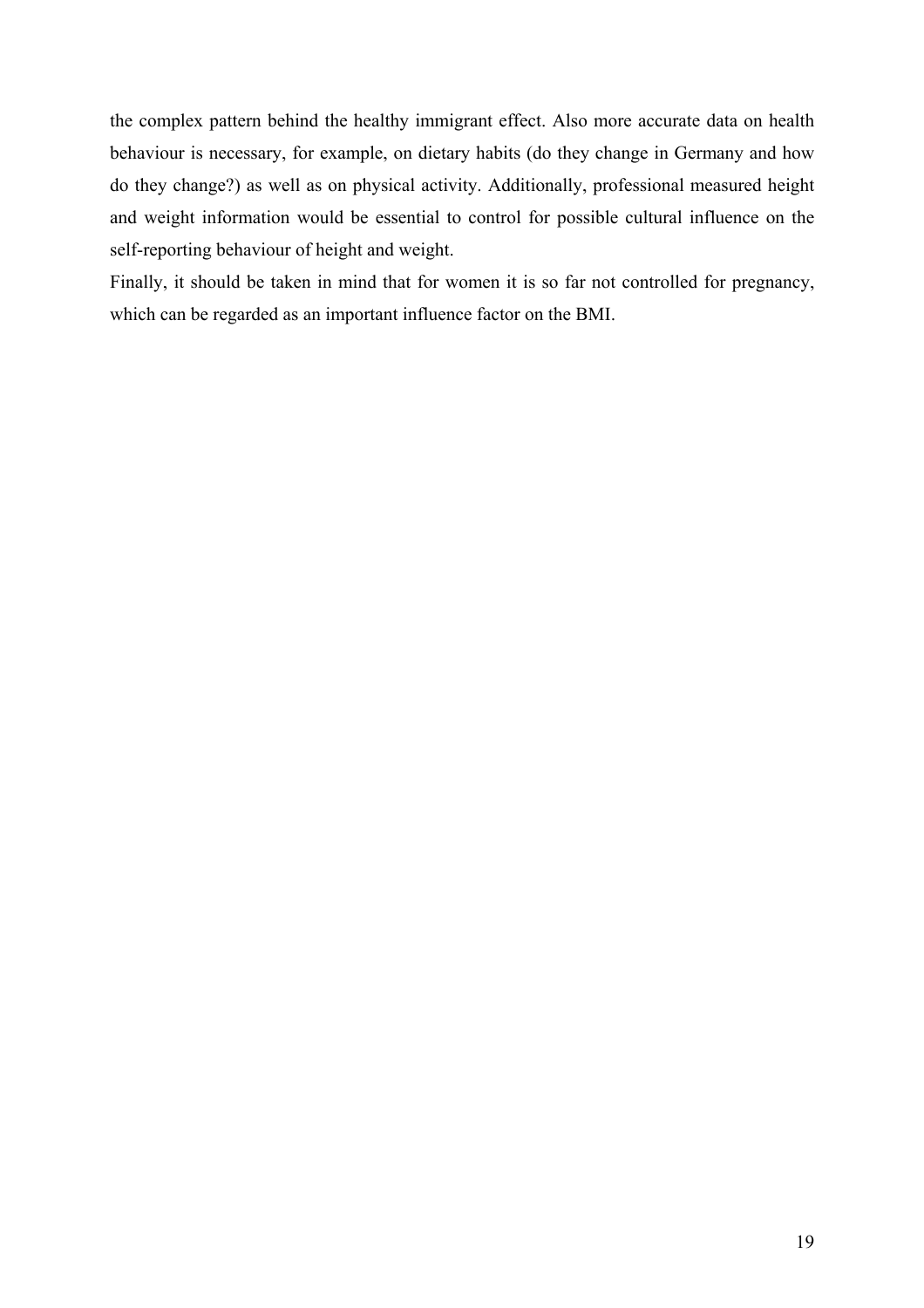the complex pattern behind the healthy immigrant effect. Also more accurate data on health behaviour is necessary, for example, on dietary habits (do they change in Germany and how do they change?) as well as on physical activity. Additionally, professional measured height and weight information would be essential to control for possible cultural influence on the self-reporting behaviour of height and weight.

Finally, it should be taken in mind that for women it is so far not controlled for pregnancy, which can be regarded as an important influence factor on the BMI.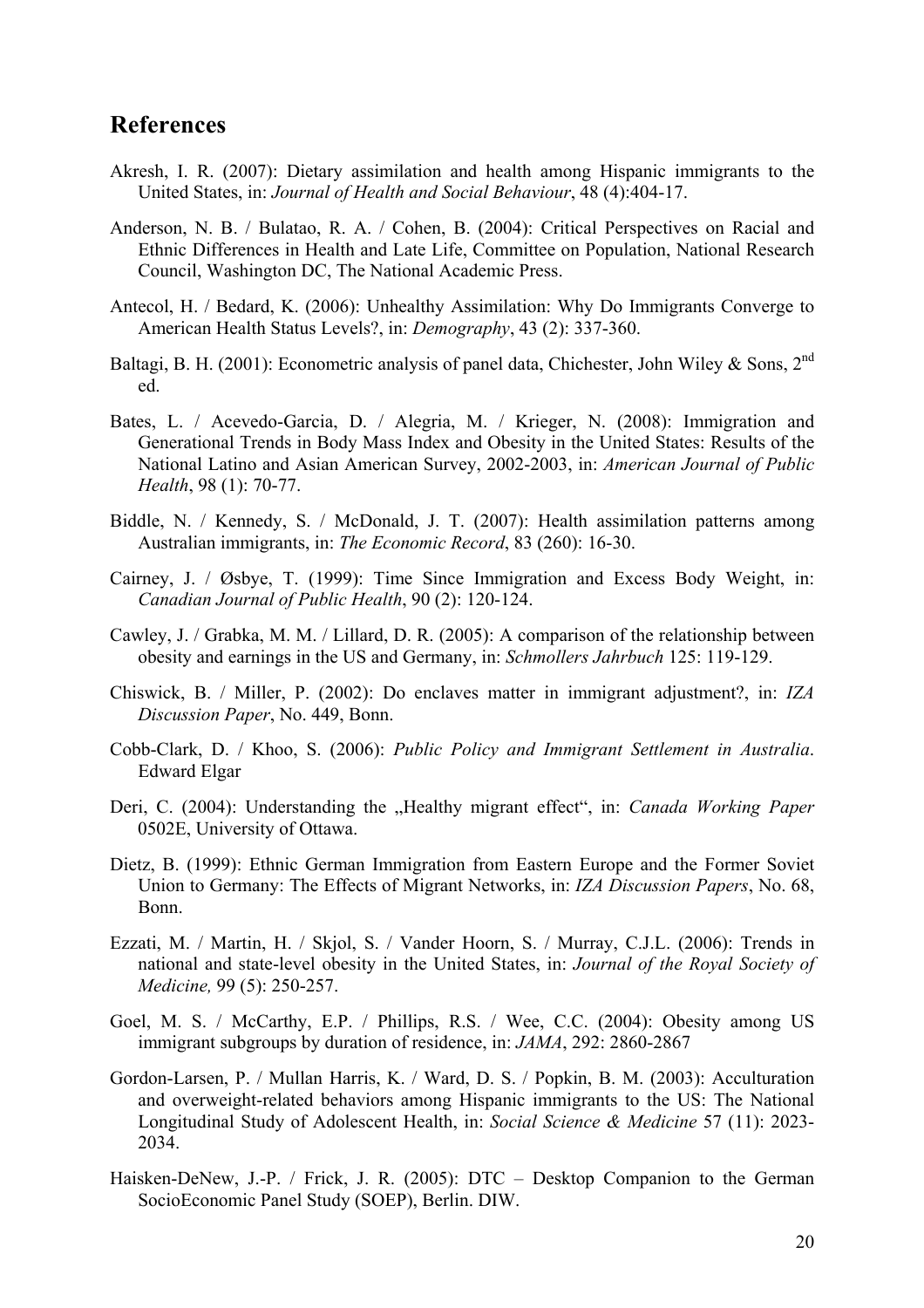# **References**

- Akresh, I. R. (2007): Dietary assimilation and health among Hispanic immigrants to the United States, in: *Journal of Health and Social Behaviour*, 48 (4):404-17.
- Anderson, N. B. / Bulatao, R. A. / Cohen, B. (2004): Critical Perspectives on Racial and Ethnic Differences in Health and Late Life, Committee on Population, National Research Council, Washington DC, The National Academic Press.
- Antecol, H. / Bedard, K. (2006): Unhealthy Assimilation: Why Do Immigrants Converge to American Health Status Levels?, in: *Demography*, 43 (2): 337-360.
- Baltagi, B. H. (2001): Econometric analysis of panel data, Chichester, John Wiley & Sons, 2<sup>nd</sup> ed.
- Bates, L. / Acevedo-Garcia, D. / Alegria, M. / Krieger, N. (2008): Immigration and Generational Trends in Body Mass Index and Obesity in the United States: Results of the National Latino and Asian American Survey, 2002-2003, in: *American Journal of Public Health*, 98 (1): 70-77.
- Biddle, N. / Kennedy, S. / McDonald, J. T. (2007): Health assimilation patterns among Australian immigrants, in: *The Economic Record*, 83 (260): 16-30.
- Cairney, J. / Øsbye, T. (1999): Time Since Immigration and Excess Body Weight, in: *Canadian Journal of Public Health*, 90 (2): 120-124.
- Cawley, J. / Grabka, M. M. / Lillard, D. R. (2005): A comparison of the relationship between obesity and earnings in the US and Germany, in: *Schmollers Jahrbuch* 125: 119-129.
- Chiswick, B. / Miller, P. (2002): Do enclaves matter in immigrant adjustment?, in: *IZA Discussion Paper*, No. 449, Bonn.
- Cobb-Clark, D. / Khoo, S. (2006): *Public Policy and Immigrant Settlement in Australia*. Edward Elgar
- Deri, C. (2004): Understanding the "Healthy migrant effect", in: *Canada Working Paper* 0502E, University of Ottawa.
- Dietz, B. (1999): Ethnic German Immigration from Eastern Europe and the Former Soviet Union to Germany: The Effects of Migrant Networks, in: *IZA Discussion Papers*, No. 68, Bonn.
- Ezzati, M. / Martin, H. / Skjol, S. / Vander Hoorn, S. / Murray, C.J.L. (2006): Trends in national and state-level obesity in the United States, in: *Journal of the Royal Society of Medicine,* 99 (5): 250-257.
- Goel, M. S. / McCarthy, E.P. / Phillips, R.S. / Wee, C.C. (2004): Obesity among US immigrant subgroups by duration of residence, in: *JAMA*, 292: 2860-2867
- Gordon-Larsen, P. / Mullan Harris, K. / Ward, D. S. / Popkin, B. M. (2003): Acculturation and overweight-related behaviors among Hispanic immigrants to the US: The National Longitudinal Study of Adolescent Health, in: *Social Science & Medicine* 57 (11): 2023- 2034.
- Haisken-DeNew, J.-P. / Frick, J. R. (2005): DTC Desktop Companion to the German SocioEconomic Panel Study (SOEP), Berlin. DIW.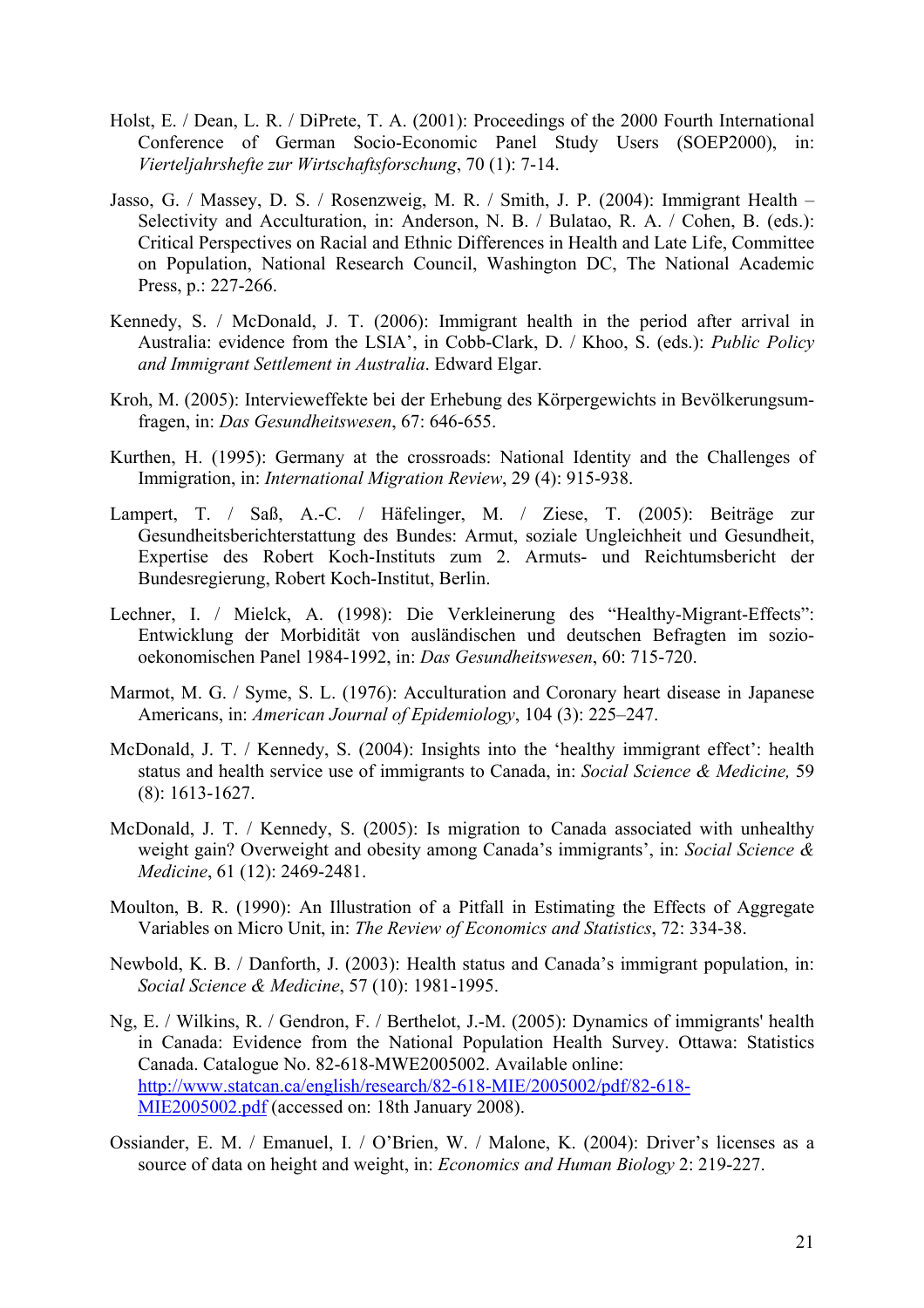- Holst, E. / Dean, L. R. / DiPrete, T. A. (2001): Proceedings of the 2000 Fourth International Conference of German Socio-Economic Panel Study Users (SOEP2000), in: *Vierteljahrshefte zur Wirtschaftsforschung*, 70 (1): 7-14.
- Jasso, G. / Massey, D. S. / Rosenzweig, M. R. / Smith, J. P. (2004): Immigrant Health Selectivity and Acculturation, in: Anderson, N. B. / Bulatao, R. A. / Cohen, B. (eds.): Critical Perspectives on Racial and Ethnic Differences in Health and Late Life, Committee on Population, National Research Council, Washington DC, The National Academic Press, p.: 227-266.
- Kennedy, S. / McDonald, J. T. (2006): Immigrant health in the period after arrival in Australia: evidence from the LSIA', in Cobb-Clark, D. / Khoo, S. (eds.): *Public Policy and Immigrant Settlement in Australia*. Edward Elgar.
- Kroh, M. (2005): Intervieweffekte bei der Erhebung des Körpergewichts in Bevölkerungsumfragen, in: *Das Gesundheitswesen*, 67: 646-655.
- Kurthen, H. (1995): Germany at the crossroads: National Identity and the Challenges of Immigration, in: *International Migration Review*, 29 (4): 915-938.
- Lampert, T. / Saß, A.-C. / Häfelinger, M. / Ziese, T. (2005): Beiträge zur Gesundheitsberichterstattung des Bundes: Armut, soziale Ungleichheit und Gesundheit, Expertise des Robert Koch-Instituts zum 2. Armuts- und Reichtumsbericht der Bundesregierung, Robert Koch-Institut, Berlin.
- Lechner, I. / Mielck, A. (1998): Die Verkleinerung des "Healthy-Migrant-Effects": Entwicklung der Morbidität von ausländischen und deutschen Befragten im soziooekonomischen Panel 1984-1992, in: *Das Gesundheitswesen*, 60: 715-720.
- Marmot, M. G. / Syme, S. L. (1976): Acculturation and Coronary heart disease in Japanese Americans, in: *American Journal of Epidemiology*, 104 (3): 225–247.
- McDonald, J. T. / Kennedy, S. (2004): Insights into the 'healthy immigrant effect': health status and health service use of immigrants to Canada, in: *Social Science & Medicine,* 59 (8): 1613-1627.
- McDonald, J. T. / Kennedy, S. (2005): Is migration to Canada associated with unhealthy weight gain? Overweight and obesity among Canada's immigrants', in: *Social Science & Medicine*, 61 (12): 2469-2481.
- Moulton, B. R. (1990): An Illustration of a Pitfall in Estimating the Effects of Aggregate Variables on Micro Unit, in: *The Review of Economics and Statistics*, 72: 334-38.
- Newbold, K. B. / Danforth, J. (2003): Health status and Canada's immigrant population, in: *Social Science & Medicine*, 57 (10): 1981-1995.
- Ng, E. / Wilkins, R. / Gendron, F. / Berthelot, J.-M. (2005): Dynamics of immigrants' health in Canada: Evidence from the National Population Health Survey. Ottawa: Statistics Canada. Catalogue No. 82-618-MWE2005002. Available online: http://www.statcan.ca/english/research/82-618-MIE/2005002/pdf/82-618- MIE2005002.pdf (accessed on: 18th January 2008).
- Ossiander, E. M. / Emanuel, I. / O'Brien, W. / Malone, K. (2004): Driver's licenses as a source of data on height and weight, in: *Economics and Human Biology* 2: 219-227.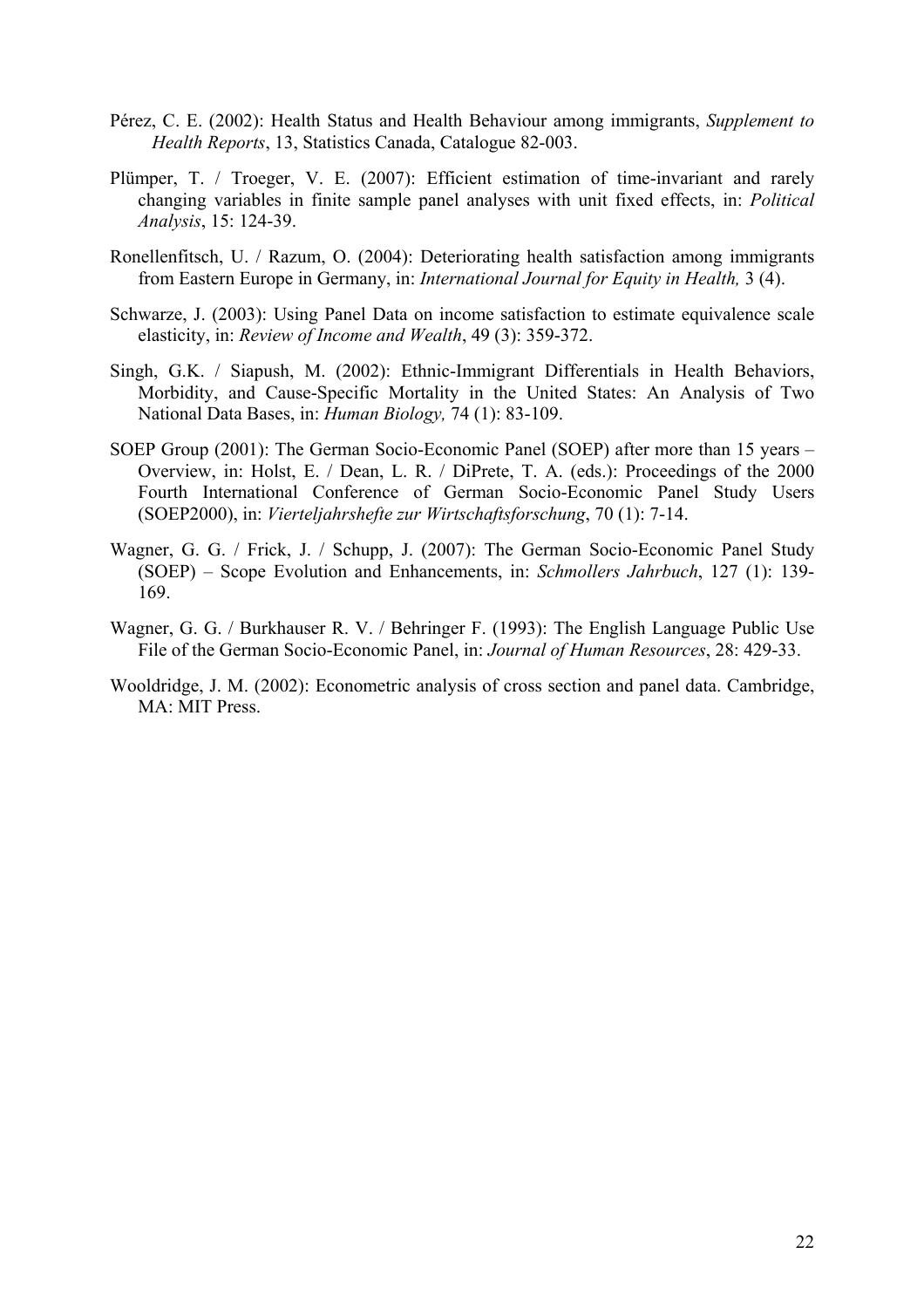- Pérez, C. E. (2002): Health Status and Health Behaviour among immigrants, *Supplement to Health Reports*, 13, Statistics Canada, Catalogue 82-003.
- Plümper, T. / Troeger, V. E. (2007): Efficient estimation of time-invariant and rarely changing variables in finite sample panel analyses with unit fixed effects, in: *Political Analysis*, 15: 124-39.
- Ronellenfitsch, U. / Razum, O. (2004): Deteriorating health satisfaction among immigrants from Eastern Europe in Germany, in: *International Journal for Equity in Health,* 3 (4).
- Schwarze, J. (2003): Using Panel Data on income satisfaction to estimate equivalence scale elasticity, in: *Review of Income and Wealth*, 49 (3): 359-372.
- Singh, G.K. / Siapush, M. (2002): Ethnic-Immigrant Differentials in Health Behaviors, Morbidity, and Cause-Specific Mortality in the United States: An Analysis of Two National Data Bases, in: *Human Biology,* 74 (1): 83-109.
- SOEP Group (2001): The German Socio-Economic Panel (SOEP) after more than 15 years Overview, in: Holst, E. / Dean, L. R. / DiPrete, T. A. (eds.): Proceedings of the 2000 Fourth International Conference of German Socio-Economic Panel Study Users (SOEP2000), in: *Vierteljahrshefte zur Wirtschaftsforschung*, 70 (1): 7-14.
- Wagner, G. G. / Frick, J. / Schupp, J. (2007): The German Socio-Economic Panel Study (SOEP) – Scope Evolution and Enhancements, in: *Schmollers Jahrbuch*, 127 (1): 139- 169.
- Wagner, G. G. / Burkhauser R. V. / Behringer F. (1993): The English Language Public Use File of the German Socio-Economic Panel, in: *Journal of Human Resources*, 28: 429-33.
- Wooldridge, J. M. (2002): Econometric analysis of cross section and panel data. Cambridge, MA: MIT Press.